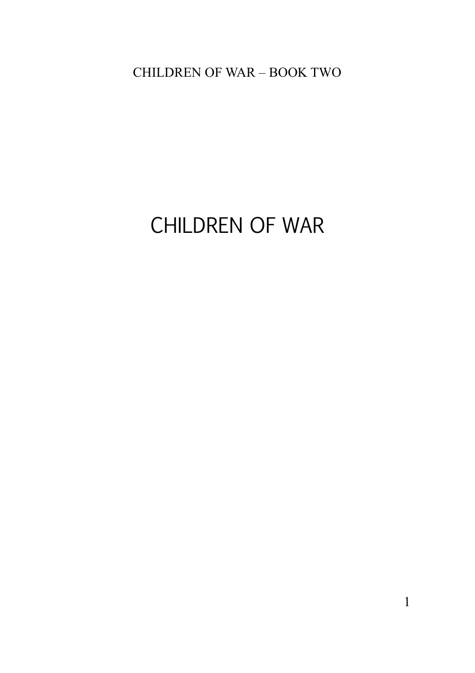# CHILDREN OF WAR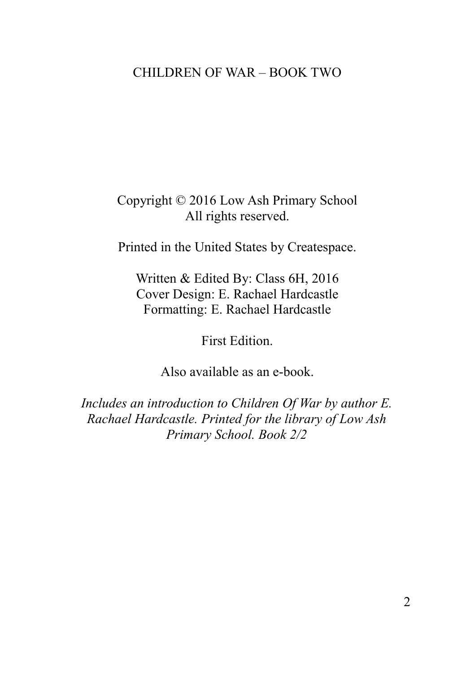Copyright © 2016 Low Ash Primary School All rights reserved.

Printed in the United States by Createspace.

Written & Edited By: Class 6H, 2016 Cover Design: E. Rachael Hardcastle Formatting: E. Rachael Hardcastle

First Edition.

Also available as an e-book.

*Includes an introduction to Children Of War by author E. Rachael Hardcastle. Printed for the library of Low Ash Primary School. Book 2/2*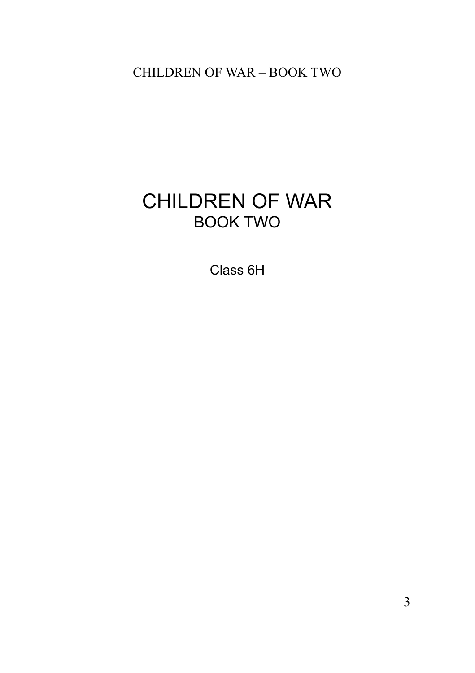## CHILDREN OF WAR BOOK TWO

Class 6H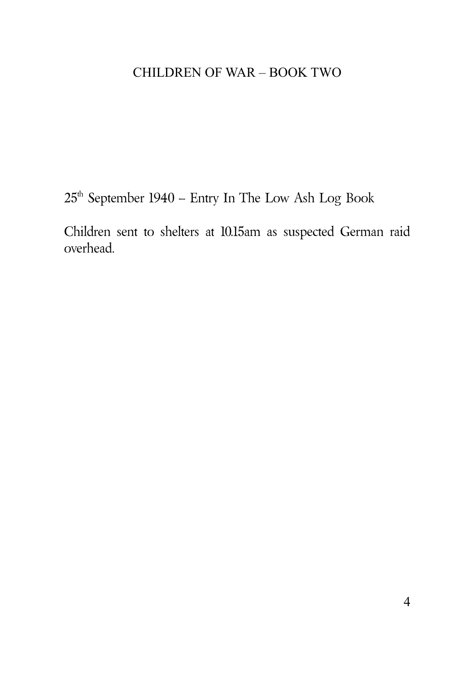$25^{\text{th}}$  September 1940 – Entry In The Low Ash Log Book

Children sent to shelters at 10.15am as suspected German raid overhead.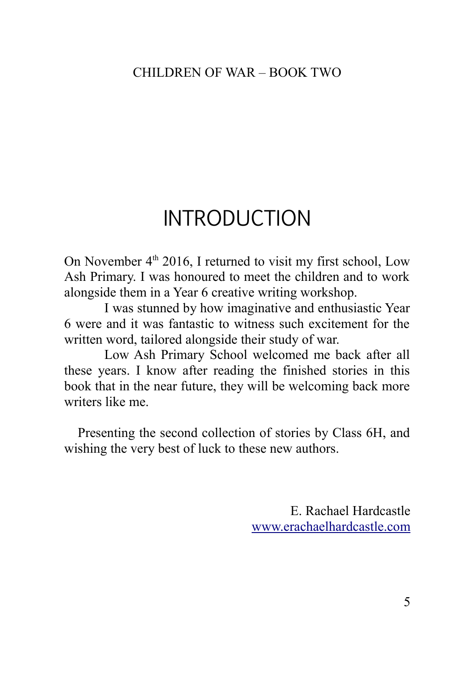# INTRODUCTION

On November  $4<sup>th</sup>$  2016. I returned to visit my first school, Low Ash Primary. I was honoured to meet the children and to work alongside them in a Year 6 creative writing workshop.

I was stunned by how imaginative and enthusiastic Year 6 were and it was fantastic to witness such excitement for the written word, tailored alongside their study of war.

Low Ash Primary School welcomed me back after all these years. I know after reading the finished stories in this book that in the near future, they will be welcoming back more writers like me.

Presenting the second collection of stories by Class 6H, and wishing the very best of luck to these new authors.

> E. Rachael Hardcastle [www.erachaelhardcastle.com](http://www.erachaelhardcastle.com/)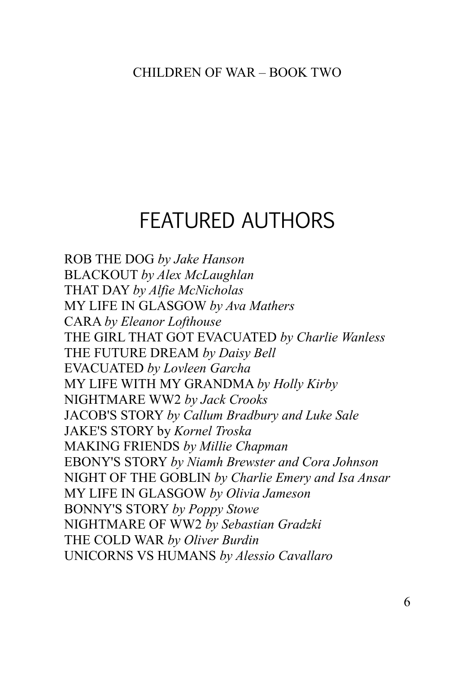# FEATURED AUTHORS

[ROB THE DOG](#page-7-0) *[by Jake Hanson](#page-7-0)* [BLACKOUT](#page-9-0) *[by Alex McLaughlan](#page-9-0)* [THAT DAY](#page-11-0) *[by Alfie McNicholas](#page-11-0)* [MY LIFE IN GLASGOW](#page-13-0) *[by Ava Mathers](#page-13-0)* [CARA](#page-15-0) *[by Eleanor Lofthouse](#page-15-0)* [THE GIRL THAT GOT EVACUATED](#page-18-0) *[by Charlie Wanless](#page-18-0)* [THE FUTURE DREAM](#page-20-0) *[by Daisy Bell](#page-20-0)* [EVACUATED](#page-23-0) *[by Lovleen Garcha](#page-23-0)* [MY LIFE WITH MY GRANDMA](#page-25-0) *[by Holly Kirby](#page-25-0)* [NIGHTMARE WW2](#page-28-0) *[by Jack Crooks](#page-28-0)* [JACOB'S STORY](#page-30-0) *[by Callum Bradbury and Luke Sale](#page-30-0)* [JAKE'S STORY by](#page-32-0) *[Kornel Troska](#page-32-0)* [MAKING FRIENDS](#page-34-0) *[by Millie Chapman](#page-34-0)* [EBONY'S STORY](#page-36-0) *[by Niamh Brewster and Cora Johnson](#page-36-0)* [NIGHT OF THE GOBLIN](#page-38-0) *[by Charlie Emery and Isa Ansar](#page-38-0)* [MY LIFE IN GLASGOW](#page-40-0) *[by Olivia Jameson](#page-40-0)* [BONNY'S STORY](#page-43-0) *[by Poppy Stowe](#page-43-0)* [NIGHTMARE OF WW2](#page-46-0) *[by Sebastian Gradzki](#page-46-0)* [THE COLD WAR](#page-48-0) *[by Oliver Burdin](#page-48-0)* [UNICORNS VS HUMANS](#page-50-0) *[by Alessio Cavallaro](#page-50-0)*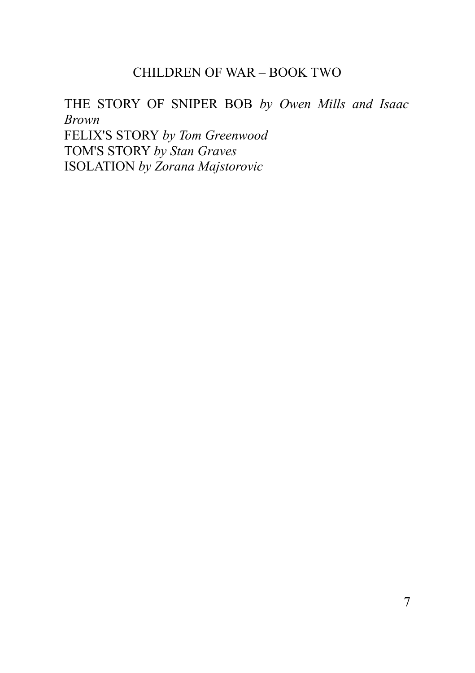### [THE STORY OF SNIPER BOB](#page-51-0) *[by Owen Mills and Isaac](#page-51-0) [Brown](#page-51-0)*

[FELIX'S STORY](#page-53-0) *[by Tom Greenwood](#page-53-0)* [TOM'S STORY](#page-56-0) *[by Stan Graves](#page-56-0)*  [ISOLATION](#page-58-0) *[by Zorana Majstorovic](#page-58-0)*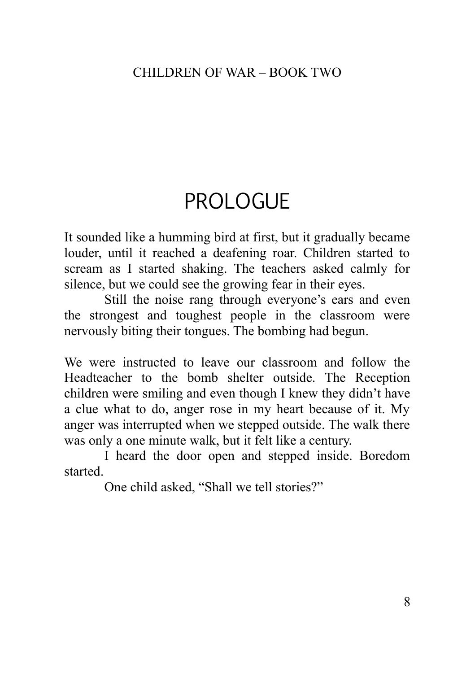# PROLOGUE

It sounded like a humming bird at first, but it gradually became louder, until it reached a deafening roar. Children started to scream as I started shaking. The teachers asked calmly for silence, but we could see the growing fear in their eyes.

Still the noise rang through everyone's ears and even the strongest and toughest people in the classroom were nervously biting their tongues. The bombing had begun.

We were instructed to leave our classroom and follow the Headteacher to the bomb shelter outside. The Reception children were smiling and even though I knew they didn't have a clue what to do, anger rose in my heart because of it. My anger was interrupted when we stepped outside. The walk there was only a one minute walk, but it felt like a century.

I heard the door open and stepped inside. Boredom started.

<span id="page-7-0"></span>One child asked, "Shall we tell stories?"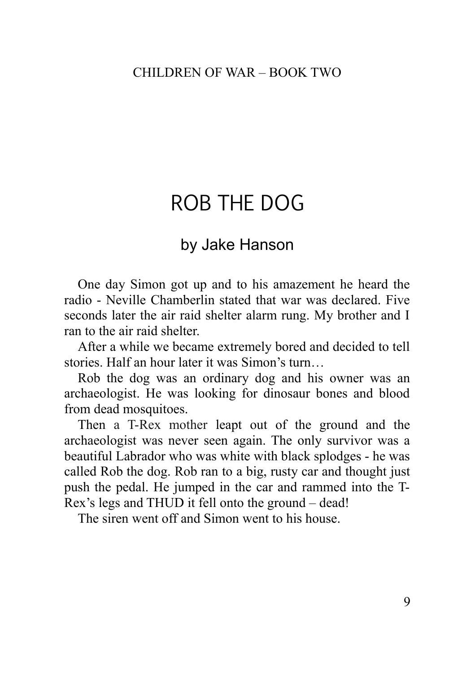# ROB THE DOG

## by Jake Hanson

One day Simon got up and to his amazement he heard the radio - Neville Chamberlin stated that war was declared. Five seconds later the air raid shelter alarm rung. My brother and I ran to the air raid shelter.

After a while we became extremely bored and decided to tell stories. Half an hour later it was Simon's turn…

Rob the dog was an ordinary dog and his owner was an archaeologist. He was looking for dinosaur bones and blood from dead mosquitoes.

Then a T-Rex mother leapt out of the ground and the archaeologist was never seen again. The only survivor was a beautiful Labrador who was white with black splodges - he was called Rob the dog. Rob ran to a big, rusty car and thought just push the pedal. He jumped in the car and rammed into the T-Rex's legs and THUD it fell onto the ground – dead!

The siren went off and Simon went to his house.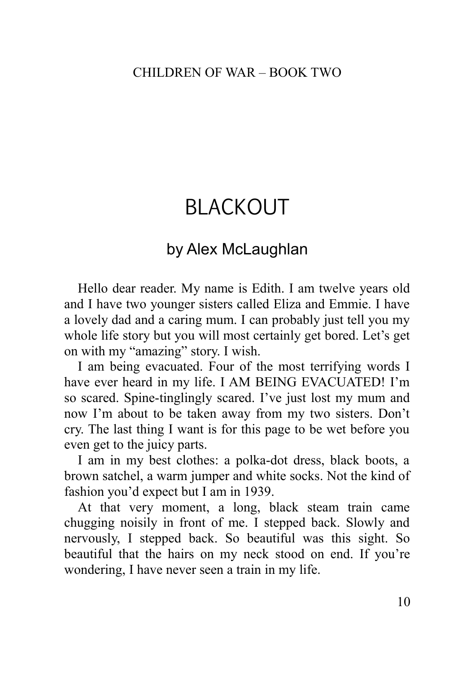# <span id="page-9-0"></span>BLACKOUT

## by Alex McLaughlan

Hello dear reader. My name is Edith. I am twelve years old and I have two younger sisters called Eliza and Emmie. I have a lovely dad and a caring mum. I can probably just tell you my whole life story but you will most certainly get bored. Let's get on with my "amazing" story. I wish.

I am being evacuated. Four of the most terrifying words I have ever heard in my life. I AM BEING EVACUATED! I'm so scared. Spine-tinglingly scared. I've just lost my mum and now I'm about to be taken away from my two sisters. Don't cry. The last thing I want is for this page to be wet before you even get to the juicy parts.

I am in my best clothes: a polka-dot dress, black boots, a brown satchel, a warm jumper and white socks. Not the kind of fashion you'd expect but I am in 1939.

At that very moment, a long, black steam train came chugging noisily in front of me. I stepped back. Slowly and nervously, I stepped back. So beautiful was this sight. So beautiful that the hairs on my neck stood on end. If you're wondering, I have never seen a train in my life.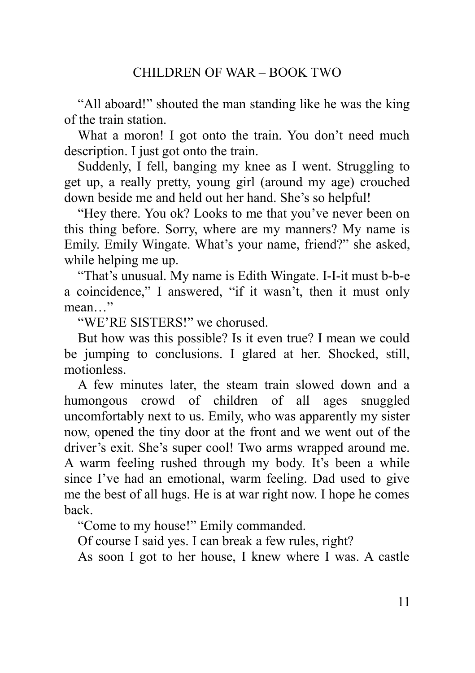"All aboard!" shouted the man standing like he was the king of the train station.

What a moron! I got onto the train. You don't need much description. I just got onto the train.

Suddenly, I fell, banging my knee as I went. Struggling to get up, a really pretty, young girl (around my age) crouched down beside me and held out her hand. She's so helpful!

"Hey there. You ok? Looks to me that you've never been on this thing before. Sorry, where are my manners? My name is Emily. Emily Wingate. What's your name, friend?" she asked, while helping me up.

"That's unusual. My name is Edith Wingate. I-I-it must b-b-e a coincidence," I answered, "if it wasn't, then it must only mean "

"WE'RE SISTERS!" we chorused.

But how was this possible? Is it even true? I mean we could be jumping to conclusions. I glared at her. Shocked, still, motionless.

A few minutes later, the steam train slowed down and a humongous crowd of children of all ages snuggled uncomfortably next to us. Emily, who was apparently my sister now, opened the tiny door at the front and we went out of the driver's exit. She's super cool! Two arms wrapped around me. A warm feeling rushed through my body. It's been a while since I've had an emotional, warm feeling. Dad used to give me the best of all hugs. He is at war right now. I hope he comes back.

"Come to my house!" Emily commanded.

Of course I said yes. I can break a few rules, right?

As soon I got to her house, I knew where I was. A castle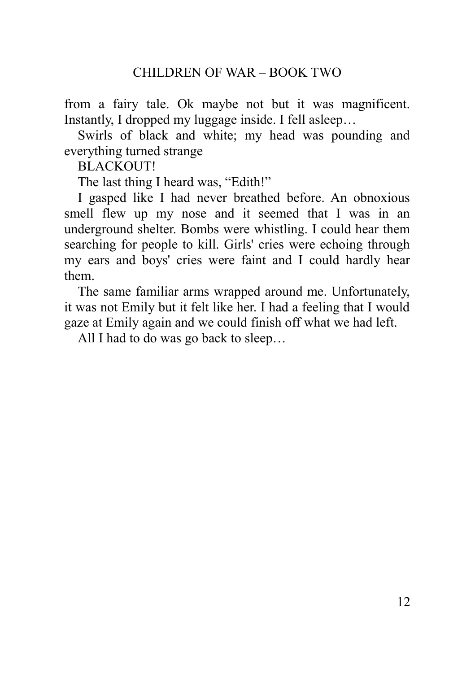from a fairy tale. Ok maybe not but it was magnificent. Instantly, I dropped my luggage inside. I fell asleep…

Swirls of black and white; my head was pounding and everything turned strange

**BLACKOUT!** 

The last thing I heard was, "Edith!"

I gasped like I had never breathed before. An obnoxious smell flew up my nose and it seemed that I was in an underground shelter. Bombs were whistling. I could hear them searching for people to kill. Girls' cries were echoing through my ears and boys' cries were faint and I could hardly hear them.

The same familiar arms wrapped around me. Unfortunately, it was not Emily but it felt like her. I had a feeling that I would gaze at Emily again and we could finish off what we had left.

<span id="page-11-0"></span>All I had to do was go back to sleep…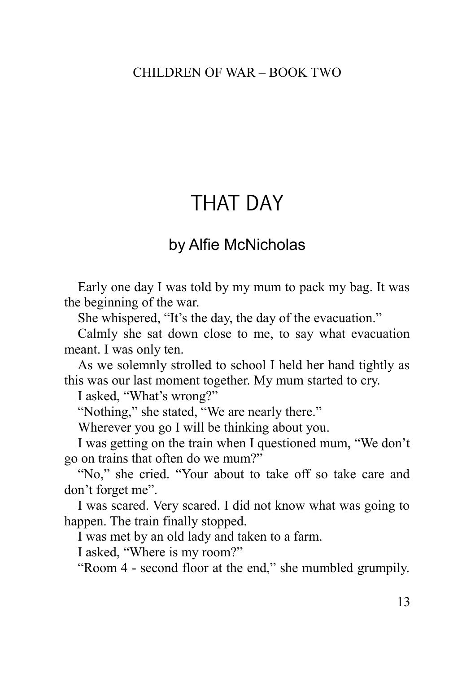## THAT DAY

## by Alfie McNicholas

Early one day I was told by my mum to pack my bag. It was the beginning of the war.

She whispered, "It's the day, the day of the evacuation."

Calmly she sat down close to me, to say what evacuation meant. I was only ten.

As we solemnly strolled to school I held her hand tightly as this was our last moment together. My mum started to cry.

I asked, "What's wrong?"

"Nothing," she stated, "We are nearly there."

Wherever you go I will be thinking about you.

I was getting on the train when I questioned mum, "We don't go on trains that often do we mum?"

"No," she cried. "Your about to take off so take care and don't forget me".

I was scared. Very scared. I did not know what was going to happen. The train finally stopped.

I was met by an old lady and taken to a farm.

I asked, "Where is my room?"

"Room 4 - second floor at the end," she mumbled grumpily.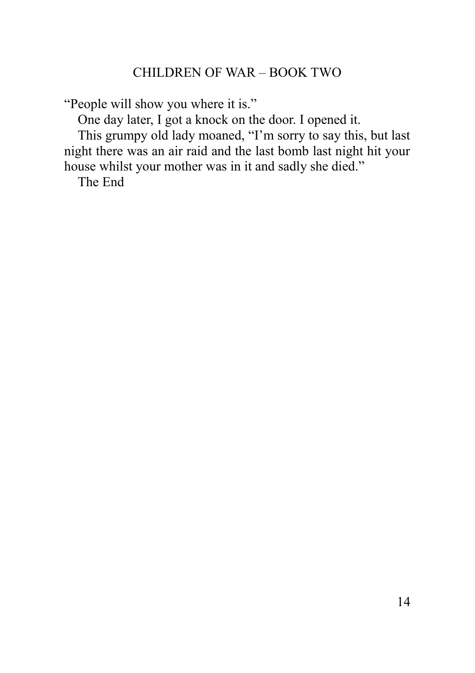"People will show you where it is."

One day later, I got a knock on the door. I opened it.

This grumpy old lady moaned, "I'm sorry to say this, but last night there was an air raid and the last bomb last night hit your house whilst your mother was in it and sadly she died."

<span id="page-13-0"></span>The End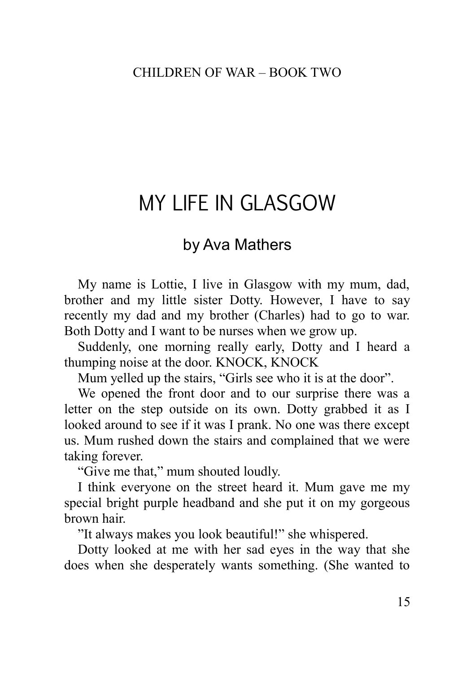# MY LIFE IN GLASGOW

### by Ava Mathers

My name is Lottie, I live in Glasgow with my mum, dad, brother and my little sister Dotty. However, I have to say recently my dad and my brother (Charles) had to go to war. Both Dotty and I want to be nurses when we grow up.

Suddenly, one morning really early, Dotty and I heard a thumping noise at the door. KNOCK, KNOCK

Mum yelled up the stairs, "Girls see who it is at the door".

We opened the front door and to our surprise there was a letter on the step outside on its own. Dotty grabbed it as I looked around to see if it was I prank. No one was there except us. Mum rushed down the stairs and complained that we were taking forever.

"Give me that," mum shouted loudly.

I think everyone on the street heard it. Mum gave me my special bright purple headband and she put it on my gorgeous brown hair.

"It always makes you look beautiful!" she whispered.

Dotty looked at me with her sad eyes in the way that she does when she desperately wants something. (She wanted to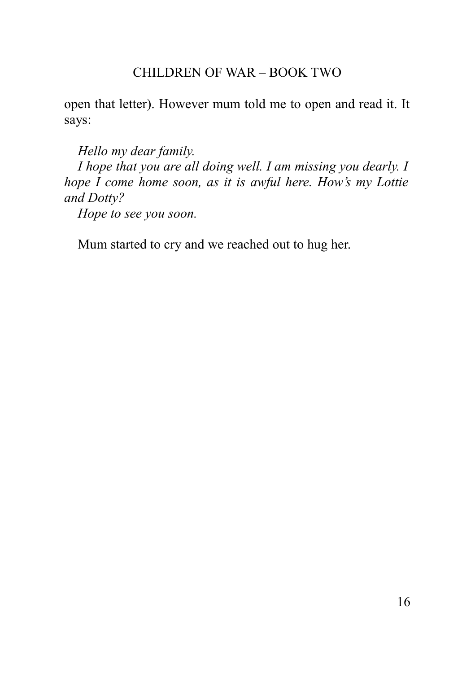open that letter). However mum told me to open and read it. It says:

*Hello my dear family.* 

*I hope that you are all doing well. I am missing you dearly. I hope I come home soon, as it is awful here. How's my Lottie and Dotty?* 

*Hope to see you soon.* 

<span id="page-15-0"></span>Mum started to cry and we reached out to hug her.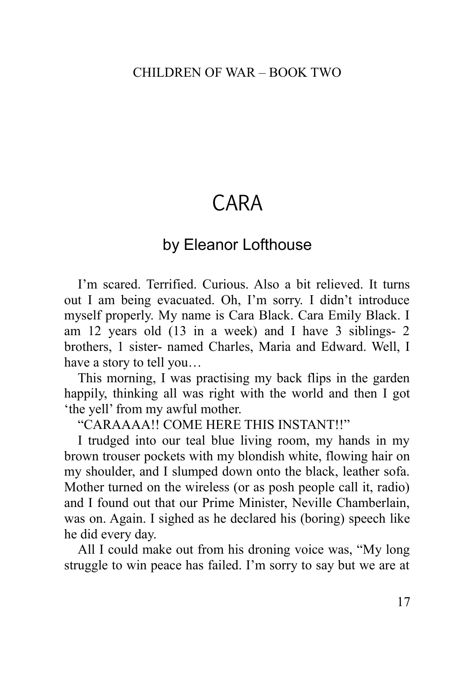# CARA

## by Eleanor Lofthouse

I'm scared. Terrified. Curious. Also a bit relieved. It turns out I am being evacuated. Oh, I'm sorry. I didn't introduce myself properly. My name is Cara Black. Cara Emily Black. I am 12 years old (13 in a week) and I have 3 siblings- 2 brothers, 1 sister- named Charles, Maria and Edward. Well, I have a story to tell you…

This morning, I was practising my back flips in the garden happily, thinking all was right with the world and then I got 'the yell' from my awful mother.

"CARAAAA!! COME HERE THIS INSTANT!!"

I trudged into our teal blue living room, my hands in my brown trouser pockets with my blondish white, flowing hair on my shoulder, and I slumped down onto the black, leather sofa. Mother turned on the wireless (or as posh people call it, radio) and I found out that our Prime Minister, Neville Chamberlain, was on. Again. I sighed as he declared his (boring) speech like he did every day.

All I could make out from his droning voice was, "My long struggle to win peace has failed. I'm sorry to say but we are at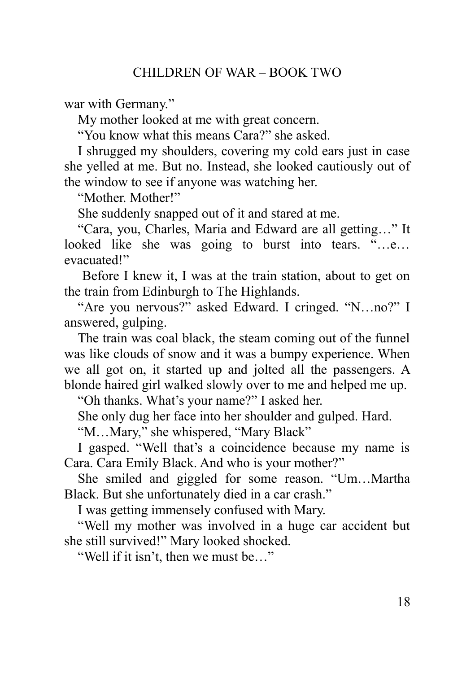war with Germany."

My mother looked at me with great concern.

"You know what this means Cara?" she asked.

I shrugged my shoulders, covering my cold ears just in case she yelled at me. But no. Instead, she looked cautiously out of the window to see if anyone was watching her.

"Mother. Mother!"

She suddenly snapped out of it and stared at me.

"Cara, you, Charles, Maria and Edward are all getting…" It looked like she was going to burst into tears. "…e… evacuated!"

 Before I knew it, I was at the train station, about to get on the train from Edinburgh to The Highlands.

"Are you nervous?" asked Edward. I cringed. "N…no?" I answered, gulping.

The train was coal black, the steam coming out of the funnel was like clouds of snow and it was a bumpy experience. When we all got on, it started up and jolted all the passengers. A blonde haired girl walked slowly over to me and helped me up.

"Oh thanks. What's your name?" I asked her.

She only dug her face into her shoulder and gulped. Hard.

"M…Mary," she whispered, "Mary Black"

I gasped. "Well that's a coincidence because my name is Cara. Cara Emily Black. And who is your mother?"

She smiled and giggled for some reason. "Um…Martha Black. But she unfortunately died in a car crash."

I was getting immensely confused with Mary.

"Well my mother was involved in a huge car accident but she still survived!" Mary looked shocked.

"Well if it isn't, then we must be…"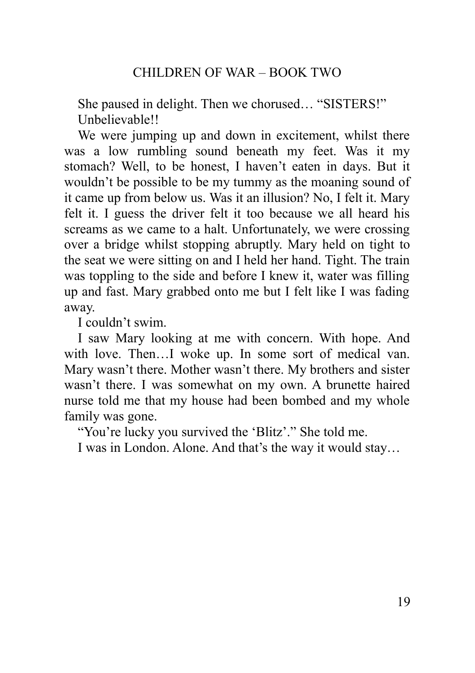She paused in delight. Then we chorused… "SISTERS!" Unbelievable!!

We were jumping up and down in excitement, whilst there was a low rumbling sound beneath my feet. Was it my stomach? Well, to be honest, I haven't eaten in days. But it wouldn't be possible to be my tummy as the moaning sound of it came up from below us. Was it an illusion? No, I felt it. Mary felt it. I guess the driver felt it too because we all heard his screams as we came to a halt. Unfortunately, we were crossing over a bridge whilst stopping abruptly. Mary held on tight to the seat we were sitting on and I held her hand. Tight. The train was toppling to the side and before I knew it, water was filling up and fast. Mary grabbed onto me but I felt like I was fading away.

I couldn't swim.

I saw Mary looking at me with concern. With hope. And with love. Then…I woke up. In some sort of medical van. Mary wasn't there. Mother wasn't there. My brothers and sister wasn't there. I was somewhat on my own. A brunette haired nurse told me that my house had been bombed and my whole family was gone.

"You're lucky you survived the 'Blitz'." She told me.

<span id="page-18-0"></span>I was in London. Alone. And that's the way it would stay…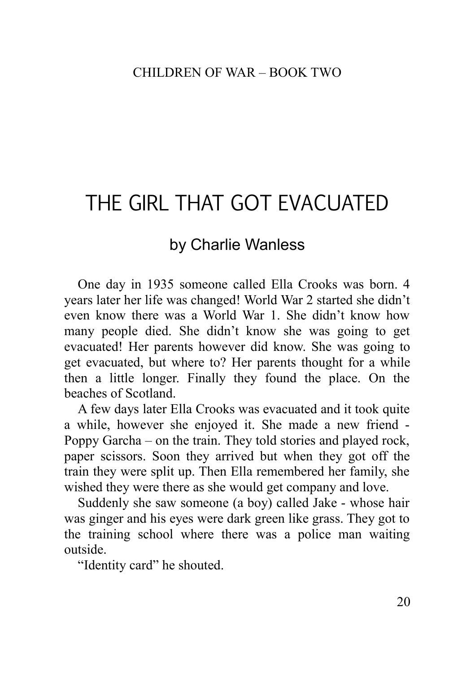# THE GIRL THAT GOT EVACUATED

## by Charlie Wanless

One day in 1935 someone called Ella Crooks was born. 4 years later her life was changed! World War 2 started she didn't even know there was a World War 1. She didn't know how many people died. She didn't know she was going to get evacuated! Her parents however did know. She was going to get evacuated, but where to? Her parents thought for a while then a little longer. Finally they found the place. On the beaches of Scotland.

A few days later Ella Crooks was evacuated and it took quite a while, however she enjoyed it. She made a new friend - Poppy Garcha – on the train. They told stories and played rock, paper scissors. Soon they arrived but when they got off the train they were split up. Then Ella remembered her family, she wished they were there as she would get company and love.

Suddenly she saw someone (a boy) called Jake - whose hair was ginger and his eyes were dark green like grass. They got to the training school where there was a police man waiting outside.

"Identity card" he shouted.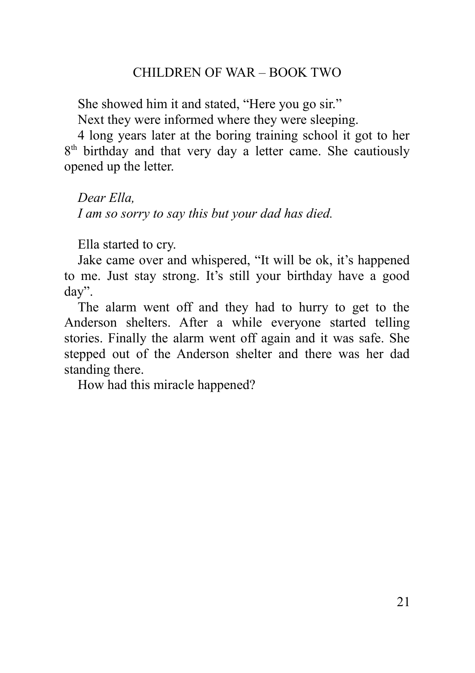She showed him it and stated, "Here you go sir."

Next they were informed where they were sleeping.

4 long years later at the boring training school it got to her 8<sup>th</sup> birthday and that very day a letter came. She cautiously opened up the letter.

*Dear Ella, I am so sorry to say this but your dad has died.* 

Ella started to cry.

Jake came over and whispered, "It will be ok, it's happened to me. Just stay strong. It's still your birthday have a good day".

The alarm went off and they had to hurry to get to the Anderson shelters. After a while everyone started telling stories. Finally the alarm went off again and it was safe. She stepped out of the Anderson shelter and there was her dad standing there.

<span id="page-20-0"></span>How had this miracle happened?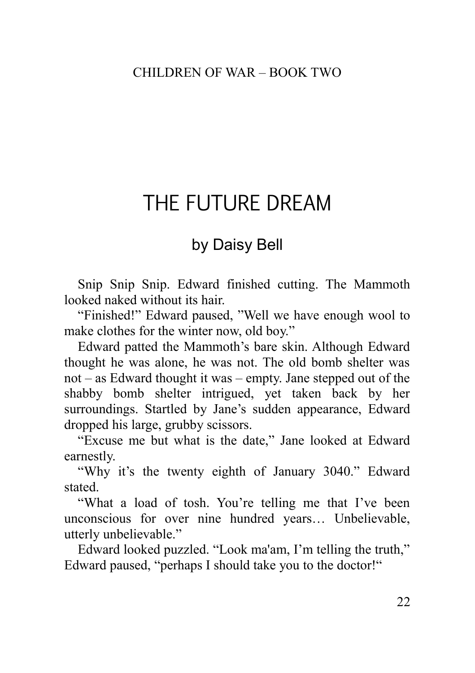## THE FUTURE DREAM

## by Daisy Bell

Snip Snip Snip. Edward finished cutting. The Mammoth looked naked without its hair.

"Finished!" Edward paused, "Well we have enough wool to make clothes for the winter now, old boy."

Edward patted the Mammoth's bare skin. Although Edward thought he was alone, he was not. The old bomb shelter was not – as Edward thought it was – empty. Jane stepped out of the shabby bomb shelter intrigued, yet taken back by her surroundings. Startled by Jane's sudden appearance, Edward dropped his large, grubby scissors.

"Excuse me but what is the date," Jane looked at Edward earnestly.

"Why it's the twenty eighth of January 3040." Edward stated.

"What a load of tosh. You're telling me that I've been unconscious for over nine hundred years… Unbelievable, utterly unbelievable."

Edward looked puzzled. "Look ma'am, I'm telling the truth," Edward paused, "perhaps I should take you to the doctor!"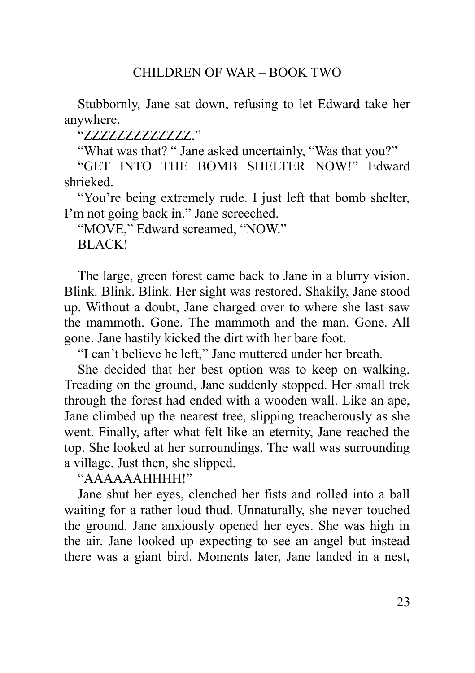Stubbornly, Jane sat down, refusing to let Edward take her anywhere.

"ZZZZZZZZZZZZZ."

"What was that? " Jane asked uncertainly, "Was that you?"

"GET INTO THE BOMB SHELTER NOW!" Edward shrieked.

"You're being extremely rude. I just left that bomb shelter, I'm not going back in." Jane screeched.

"MOVE," Edward screamed, "NOW." BLACK!

The large, green forest came back to Jane in a blurry vision. Blink. Blink. Blink. Her sight was restored. Shakily, Jane stood up. Without a doubt, Jane charged over to where she last saw the mammoth. Gone. The mammoth and the man. Gone. All gone. Jane hastily kicked the dirt with her bare foot.

"I can't believe he left," Jane muttered under her breath.

She decided that her best option was to keep on walking. Treading on the ground, Jane suddenly stopped. Her small trek through the forest had ended with a wooden wall. Like an ape, Jane climbed up the nearest tree, slipping treacherously as she went. Finally, after what felt like an eternity, Jane reached the top. She looked at her surroundings. The wall was surrounding a village. Just then, she slipped.

"AAAAAAHHHH!"

Jane shut her eyes, clenched her fists and rolled into a ball waiting for a rather loud thud. Unnaturally, she never touched the ground. Jane anxiously opened her eyes. She was high in the air. Jane looked up expecting to see an angel but instead there was a giant bird. Moments later, Jane landed in a nest,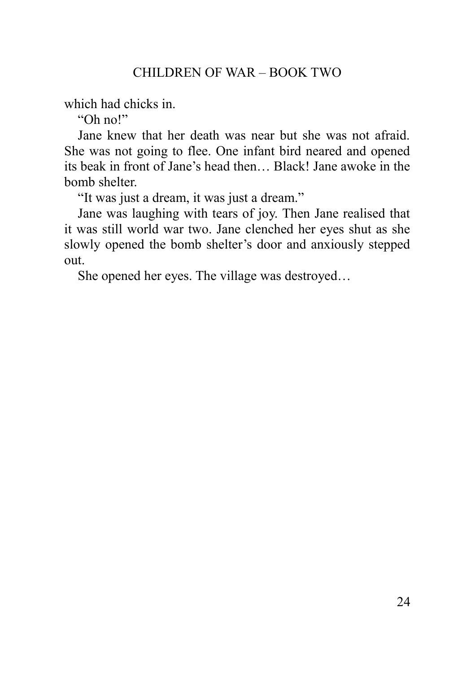which had chicks in.

"Oh no!"

Jane knew that her death was near but she was not afraid. She was not going to flee. One infant bird neared and opened its beak in front of Jane's head then… Black! Jane awoke in the bomb shelter.

"It was just a dream, it was just a dream."

Jane was laughing with tears of joy. Then Jane realised that it was still world war two. Jane clenched her eyes shut as she slowly opened the bomb shelter's door and anxiously stepped out.

<span id="page-23-0"></span>She opened her eyes. The village was destroyed…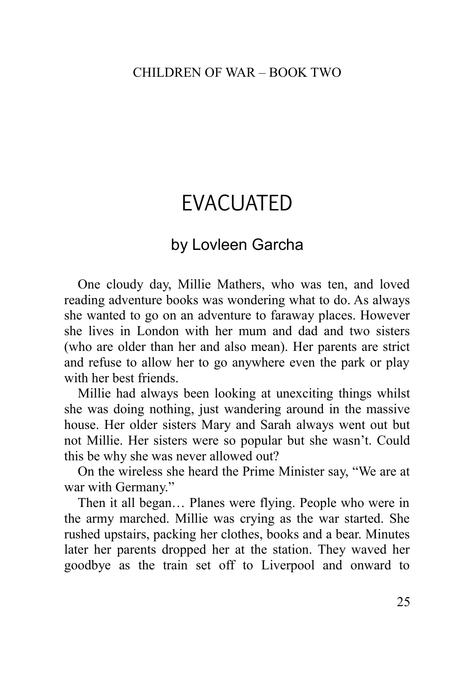# EVACUATED

## by Lovleen Garcha

One cloudy day, Millie Mathers, who was ten, and loved reading adventure books was wondering what to do. As always she wanted to go on an adventure to faraway places. However she lives in London with her mum and dad and two sisters (who are older than her and also mean). Her parents are strict and refuse to allow her to go anywhere even the park or play with her best friends.

Millie had always been looking at unexciting things whilst she was doing nothing, just wandering around in the massive house. Her older sisters Mary and Sarah always went out but not Millie. Her sisters were so popular but she wasn't. Could this be why she was never allowed out?

On the wireless she heard the Prime Minister say, "We are at war with Germany."

Then it all began… Planes were flying. People who were in the army marched. Millie was crying as the war started. She rushed upstairs, packing her clothes, books and a bear. Minutes later her parents dropped her at the station. They waved her goodbye as the train set off to Liverpool and onward to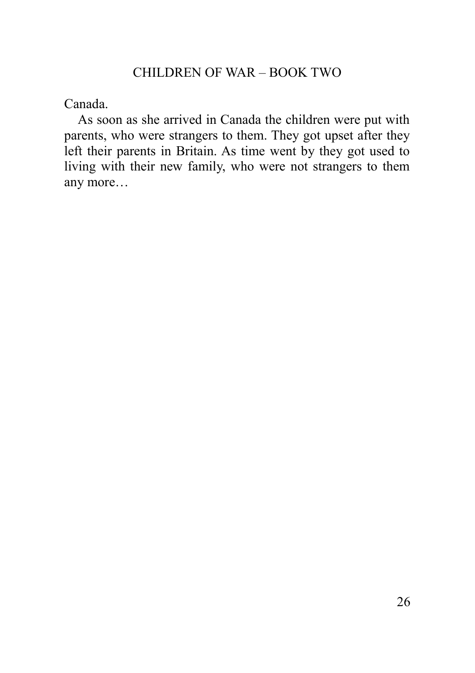Canada.

<span id="page-25-0"></span>As soon as she arrived in Canada the children were put with parents, who were strangers to them. They got upset after they left their parents in Britain. As time went by they got used to living with their new family, who were not strangers to them any more…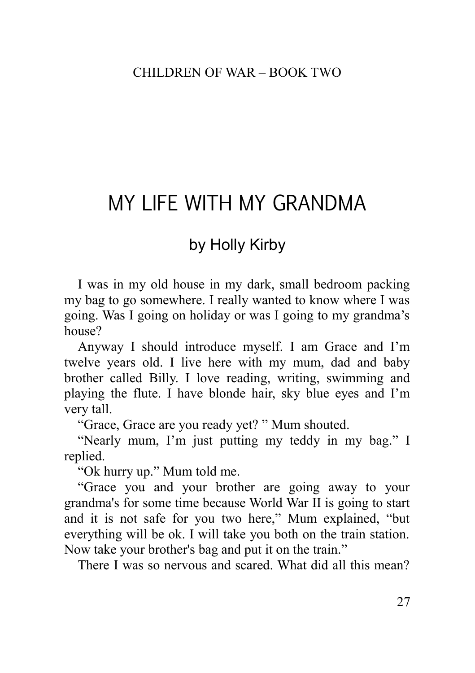# MY LIFE WITH MY GRANDMA

## by Holly Kirby

I was in my old house in my dark, small bedroom packing my bag to go somewhere. I really wanted to know where I was going. Was I going on holiday or was I going to my grandma's house?

Anyway I should introduce myself. I am Grace and I'm twelve years old. I live here with my mum, dad and baby brother called Billy. I love reading, writing, swimming and playing the flute. I have blonde hair, sky blue eyes and I'm very tall.

"Grace, Grace are you ready yet? " Mum shouted.

"Nearly mum, I'm just putting my teddy in my bag." I replied.

"Ok hurry up." Mum told me.

"Grace you and your brother are going away to your grandma's for some time because World War II is going to start and it is not safe for you two here," Mum explained, "but everything will be ok. I will take you both on the train station. Now take your brother's bag and put it on the train."

There I was so nervous and scared. What did all this mean?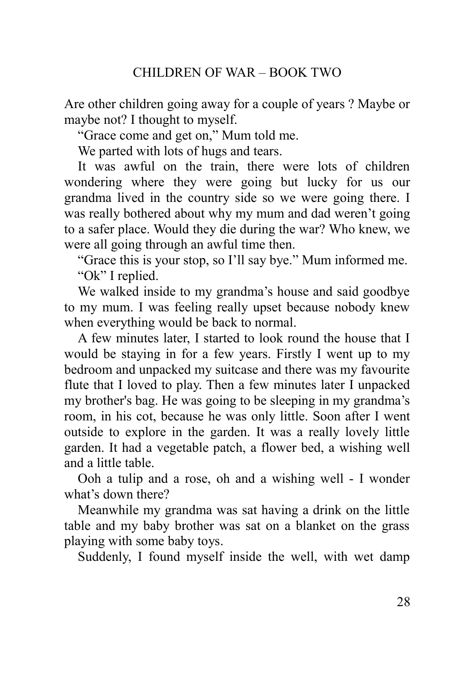Are other children going away for a couple of years ? Maybe or maybe not? I thought to myself.

"Grace come and get on," Mum told me.

We parted with lots of hugs and tears.

It was awful on the train, there were lots of children wondering where they were going but lucky for us our grandma lived in the country side so we were going there. I was really bothered about why my mum and dad weren't going to a safer place. Would they die during the war? Who knew, we were all going through an awful time then.

"Grace this is your stop, so I'll say bye." Mum informed me. "Ok" I replied.

We walked inside to my grandma's house and said goodbye to my mum. I was feeling really upset because nobody knew when everything would be back to normal.

A few minutes later, I started to look round the house that I would be staying in for a few years. Firstly I went up to my bedroom and unpacked my suitcase and there was my favourite flute that I loved to play. Then a few minutes later I unpacked my brother's bag. He was going to be sleeping in my grandma's room, in his cot, because he was only little. Soon after I went outside to explore in the garden. It was a really lovely little garden. It had a vegetable patch, a flower bed, a wishing well and a little table.

Ooh a tulip and a rose, oh and a wishing well - I wonder what's down there?

Meanwhile my grandma was sat having a drink on the little table and my baby brother was sat on a blanket on the grass playing with some baby toys.

Suddenly, I found myself inside the well, with wet damp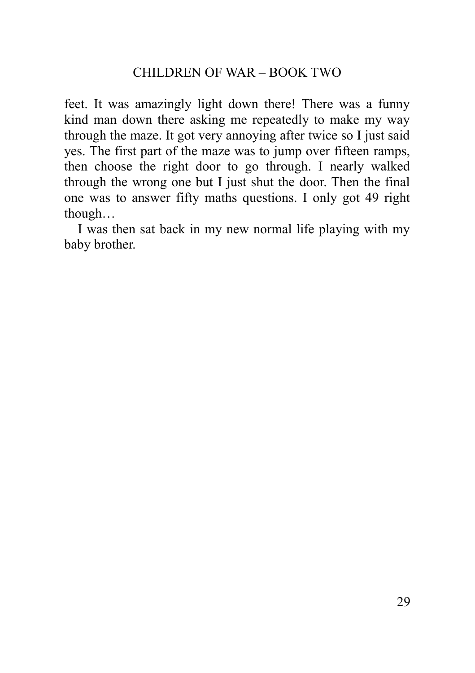feet. It was amazingly light down there! There was a funny kind man down there asking me repeatedly to make my way through the maze. It got very annoying after twice so I just said yes. The first part of the maze was to jump over fifteen ramps, then choose the right door to go through. I nearly walked through the wrong one but I just shut the door. Then the final one was to answer fifty maths questions. I only got 49 right though…

<span id="page-28-0"></span>I was then sat back in my new normal life playing with my baby brother.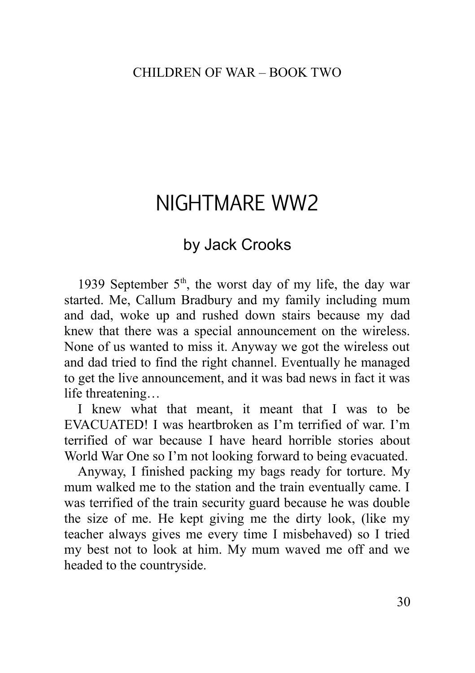# NIGHTMARE WW2

## by Jack Crooks

1939 September  $5<sup>th</sup>$ , the worst day of my life, the day war started. Me, Callum Bradbury and my family including mum and dad, woke up and rushed down stairs because my dad knew that there was a special announcement on the wireless. None of us wanted to miss it. Anyway we got the wireless out and dad tried to find the right channel. Eventually he managed to get the live announcement, and it was bad news in fact it was life threatening…

I knew what that meant, it meant that I was to be EVACUATED! I was heartbroken as I'm terrified of war. I'm terrified of war because I have heard horrible stories about World War One so I'm not looking forward to being evacuated.

Anyway, I finished packing my bags ready for torture. My mum walked me to the station and the train eventually came. I was terrified of the train security guard because he was double the size of me. He kept giving me the dirty look, (like my teacher always gives me every time I misbehaved) so I tried my best not to look at him. My mum waved me off and we headed to the countryside.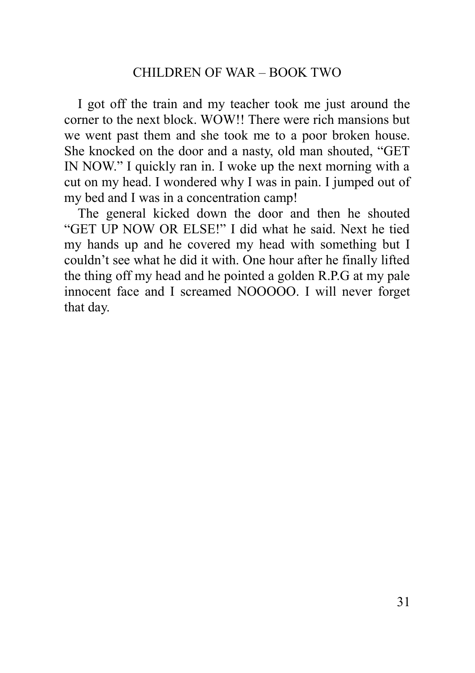I got off the train and my teacher took me just around the corner to the next block. WOW!! There were rich mansions but we went past them and she took me to a poor broken house. She knocked on the door and a nasty, old man shouted, "GET IN NOW." I quickly ran in. I woke up the next morning with a cut on my head. I wondered why I was in pain. I jumped out of my bed and I was in a concentration camp!

<span id="page-30-0"></span>The general kicked down the door and then he shouted "GET UP NOW OR ELSE!" I did what he said. Next he tied my hands up and he covered my head with something but I couldn't see what he did it with. One hour after he finally lifted the thing off my head and he pointed a golden R.P.G at my pale innocent face and I screamed NOOOOO. I will never forget that day.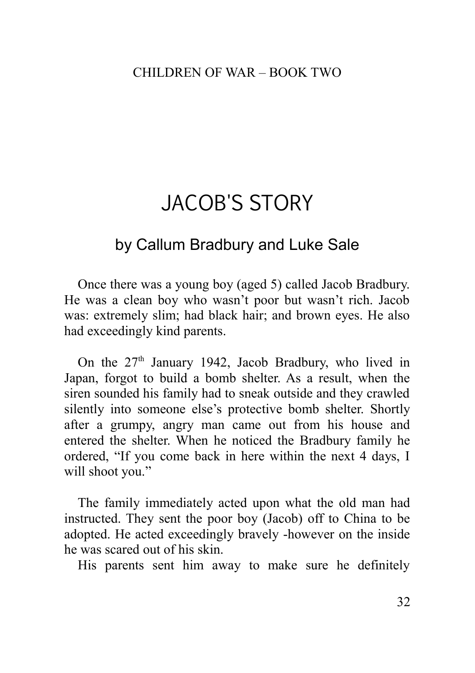# JACOB'S STORY

## by Callum Bradbury and Luke Sale

Once there was a young boy (aged 5) called Jacob Bradbury. He was a clean boy who wasn't poor but wasn't rich. Jacob was: extremely slim; had black hair; and brown eyes. He also had exceedingly kind parents.

On the  $27<sup>th</sup>$  January 1942, Jacob Bradbury, who lived in Japan, forgot to build a bomb shelter. As a result, when the siren sounded his family had to sneak outside and they crawled silently into someone else's protective bomb shelter. Shortly after a grumpy, angry man came out from his house and entered the shelter. When he noticed the Bradbury family he ordered, "If you come back in here within the next 4 days, I will shoot you."

The family immediately acted upon what the old man had instructed. They sent the poor boy (Jacob) off to China to be adopted. He acted exceedingly bravely -however on the inside he was scared out of his skin.

His parents sent him away to make sure he definitely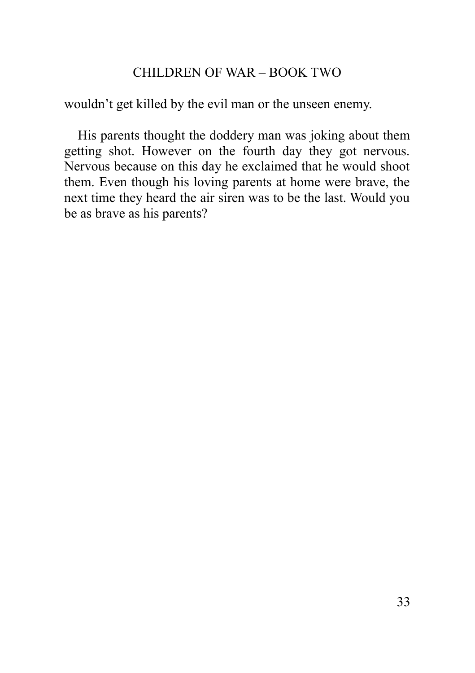wouldn't get killed by the evil man or the unseen enemy.

<span id="page-32-0"></span>His parents thought the doddery man was joking about them getting shot. However on the fourth day they got nervous. Nervous because on this day he exclaimed that he would shoot them. Even though his loving parents at home were brave, the next time they heard the air siren was to be the last. Would you be as brave as his parents?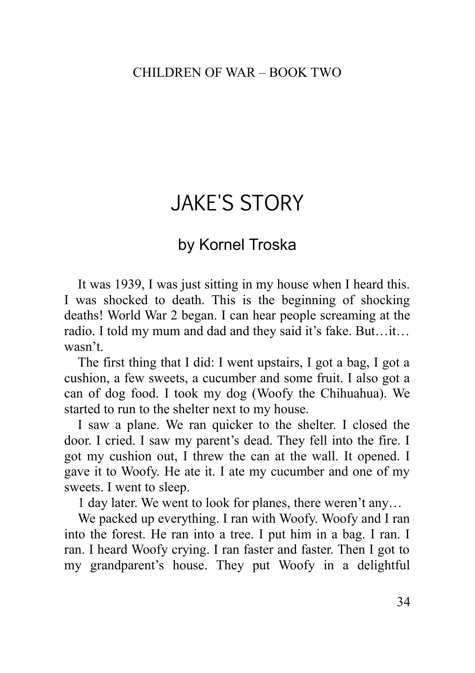# JAKE'S STORY

## by Kornel Troska

It was 1939, I was just sitting in my house when I heard this. I was shocked to death. This is the beginning of shocking deaths! World War 2 began. I can hear people screaming at the radio. I told my mum and dad and they said it's fake. But…it… wasn't.

The first thing that I did: I went upstairs, I got a bag, I got a cushion, a few sweets, a cucumber and some fruit. I also got a can of dog food. I took my dog (Woofy the Chihuahua). We started to run to the shelter next to my house.

I saw a plane. We ran quicker to the shelter. I closed the door. I cried. I saw my parent's dead. They fell into the fire. I got my cushion out, I threw the can at the wall. It opened. I gave it to Woofy. He ate it. I ate my cucumber and one of my sweets. I went to sleep.

1 day later. We went to look for planes, there weren't any…

We packed up everything. I ran with Woofy. Woofy and I ran into the forest. He ran into a tree. I put him in a bag. I ran. I ran. I heard Woofy crying. I ran faster and faster. Then I got to my grandparent's house. They put Woofy in a delightful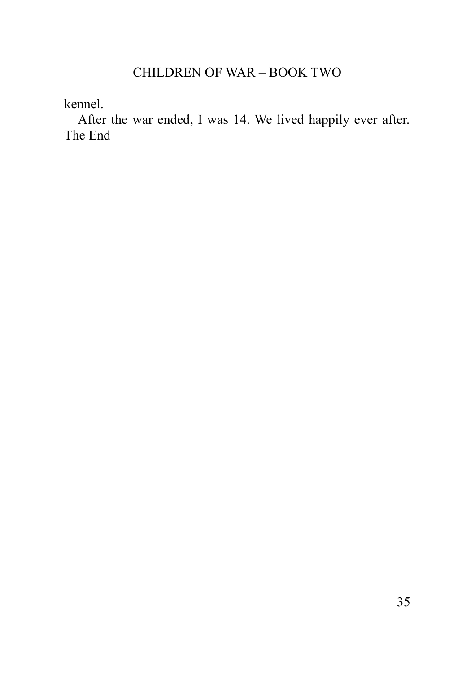kennel.

<span id="page-34-0"></span>After the war ended, I was 14. We lived happily ever after. The End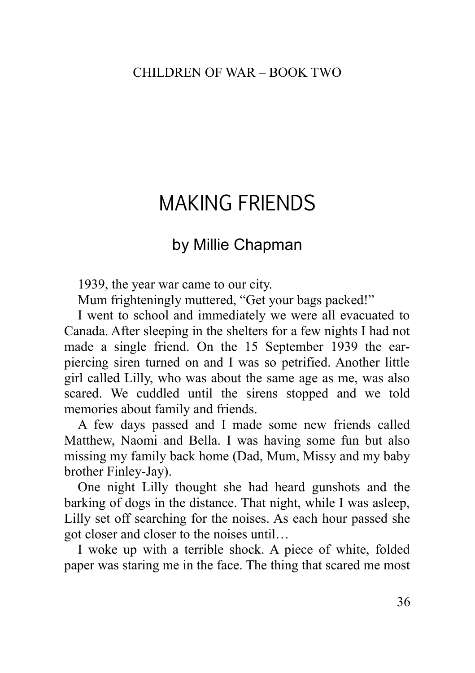# MAKING FRIENDS

## by Millie Chapman

1939, the year war came to our city.

Mum frighteningly muttered, "Get your bags packed!"

I went to school and immediately we were all evacuated to Canada. After sleeping in the shelters for a few nights I had not made a single friend. On the 15 September 1939 the earpiercing siren turned on and I was so petrified. Another little girl called Lilly, who was about the same age as me, was also scared. We cuddled until the sirens stopped and we told memories about family and friends.

A few days passed and I made some new friends called Matthew, Naomi and Bella. I was having some fun but also missing my family back home (Dad, Mum, Missy and my baby brother Finley-Jay).

One night Lilly thought she had heard gunshots and the barking of dogs in the distance. That night, while I was asleep, Lilly set off searching for the noises. As each hour passed she got closer and closer to the noises until…

I woke up with a terrible shock. A piece of white, folded paper was staring me in the face. The thing that scared me most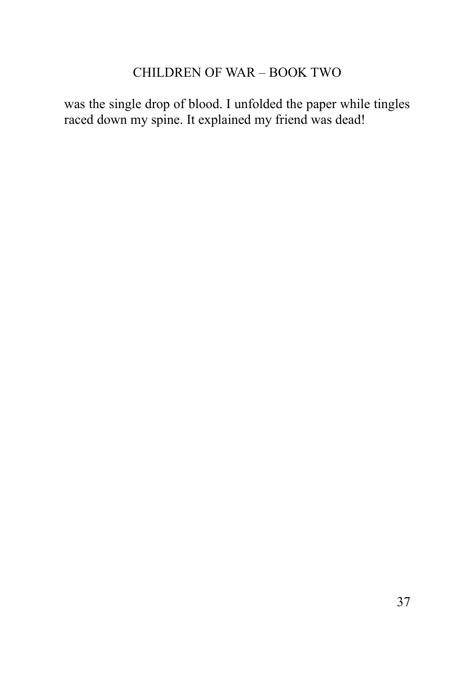<span id="page-36-0"></span>was the single drop of blood. I unfolded the paper while tingles raced down my spine. It explained my friend was dead!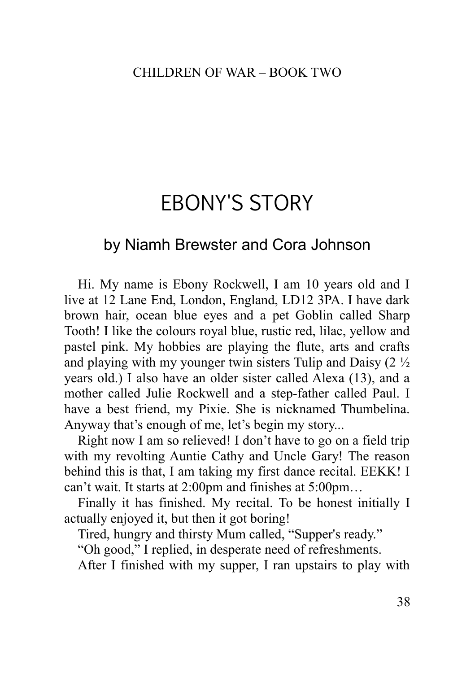# EBONY'S STORY

## by Niamh Brewster and Cora Johnson

Hi. My name is Ebony Rockwell, I am 10 years old and I live at 12 Lane End, London, England, LD12 3PA. I have dark brown hair, ocean blue eyes and a pet Goblin called Sharp Tooth! I like the colours royal blue, rustic red, lilac, yellow and pastel pink. My hobbies are playing the flute, arts and crafts and playing with my younger twin sisters Tulip and Daisy  $(2 \frac{1}{2})$ years old.) I also have an older sister called Alexa (13), and a mother called Julie Rockwell and a step-father called Paul. I have a best friend, my Pixie. She is nicknamed Thumbelina. Anyway that's enough of me, let's begin my story...

Right now I am so relieved! I don't have to go on a field trip with my revolting Auntie Cathy and Uncle Gary! The reason behind this is that, I am taking my first dance recital. EEKK! I can't wait. It starts at 2:00pm and finishes at 5:00pm…

Finally it has finished. My recital. To be honest initially I actually enjoyed it, but then it got boring!

Tired, hungry and thirsty Mum called, "Supper's ready."

"Oh good," I replied, in desperate need of refreshments.

After I finished with my supper, I ran upstairs to play with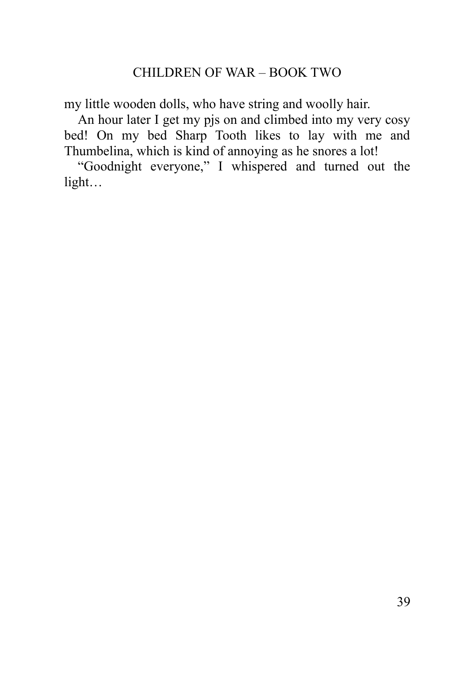my little wooden dolls, who have string and woolly hair.

An hour later I get my pjs on and climbed into my very cosy bed! On my bed Sharp Tooth likes to lay with me and Thumbelina, which is kind of annoying as he snores a lot!

<span id="page-38-0"></span>"Goodnight everyone," I whispered and turned out the light…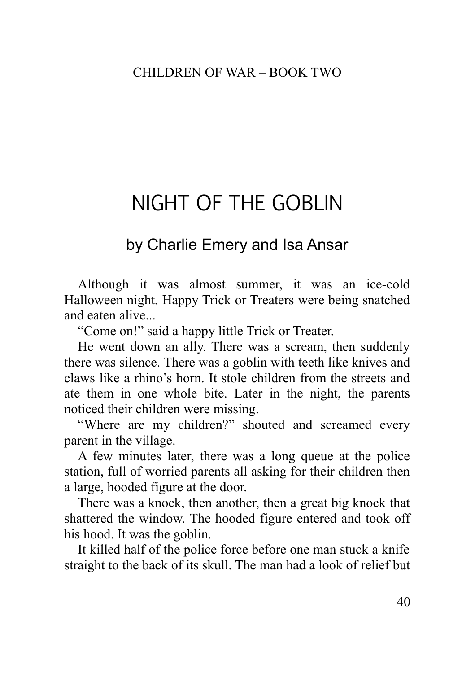# NIGHT OF THE GOBLIN

## by Charlie Emery and Isa Ansar

Although it was almost summer, it was an ice-cold Halloween night, Happy Trick or Treaters were being snatched and eaten alive...

"Come on!" said a happy little Trick or Treater.

He went down an ally. There was a scream, then suddenly there was silence. There was a goblin with teeth like knives and claws like a rhino's horn. It stole children from the streets and ate them in one whole bite. Later in the night, the parents noticed their children were missing.

"Where are my children?" shouted and screamed every parent in the village.

A few minutes later, there was a long queue at the police station, full of worried parents all asking for their children then a large, hooded figure at the door.

There was a knock, then another, then a great big knock that shattered the window. The hooded figure entered and took off his hood. It was the goblin.

It killed half of the police force before one man stuck a knife straight to the back of its skull. The man had a look of relief but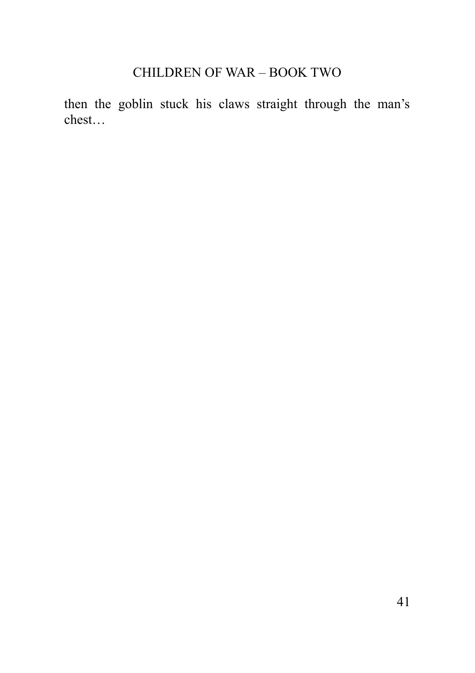<span id="page-40-0"></span>then the goblin stuck his claws straight through the man's chest…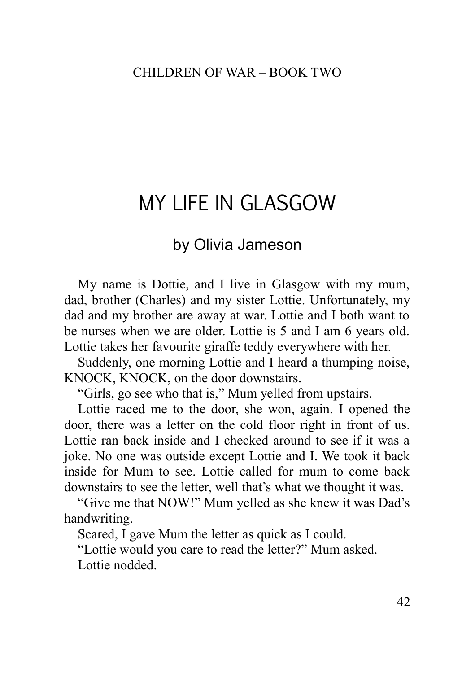# MY LIFE IN GLASGOW

## by Olivia Jameson

My name is Dottie, and I live in Glasgow with my mum, dad, brother (Charles) and my sister Lottie. Unfortunately, my dad and my brother are away at war. Lottie and I both want to be nurses when we are older. Lottie is 5 and I am 6 years old. Lottie takes her favourite giraffe teddy everywhere with her.

Suddenly, one morning Lottie and I heard a thumping noise, KNOCK, KNOCK, on the door downstairs.

"Girls, go see who that is," Mum yelled from upstairs.

Lottie raced me to the door, she won, again. I opened the door, there was a letter on the cold floor right in front of us. Lottie ran back inside and I checked around to see if it was a joke. No one was outside except Lottie and I. We took it back inside for Mum to see. Lottie called for mum to come back downstairs to see the letter, well that's what we thought it was.

"Give me that NOW!" Mum yelled as she knew it was Dad's handwriting.

Scared, I gave Mum the letter as quick as I could.

"Lottie would you care to read the letter?" Mum asked. Lottie nodded.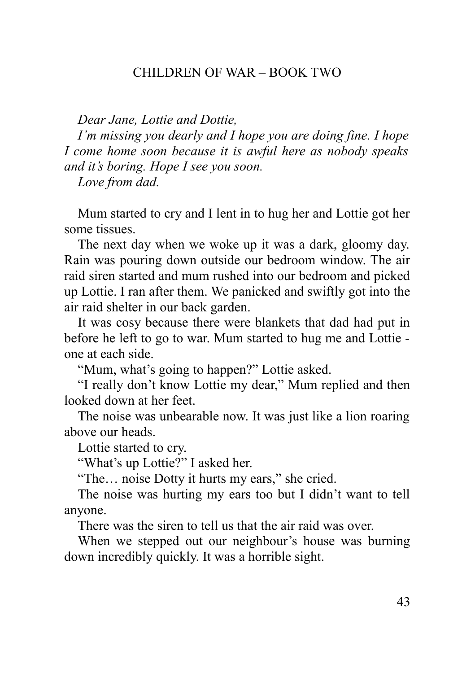*Dear Jane, Lottie and Dottie,* 

*I'm missing you dearly and I hope you are doing fine. I hope I come home soon because it is awful here as nobody speaks and it's boring. Hope I see you soon.* 

*Love from dad.*

Mum started to cry and I lent in to hug her and Lottie got her some tissues.

The next day when we woke up it was a dark, gloomy day. Rain was pouring down outside our bedroom window. The air raid siren started and mum rushed into our bedroom and picked up Lottie. I ran after them. We panicked and swiftly got into the air raid shelter in our back garden.

It was cosy because there were blankets that dad had put in before he left to go to war. Mum started to hug me and Lottie one at each side.

"Mum, what's going to happen?" Lottie asked.

"I really don't know Lottie my dear," Mum replied and then looked down at her feet.

The noise was unbearable now. It was just like a lion roaring above our heads.

Lottie started to cry.

"What's up Lottie?" I asked her.

"The… noise Dotty it hurts my ears," she cried.

The noise was hurting my ears too but I didn't want to tell anyone.

There was the siren to tell us that the air raid was over.

When we stepped out our neighbour's house was burning down incredibly quickly. It was a horrible sight.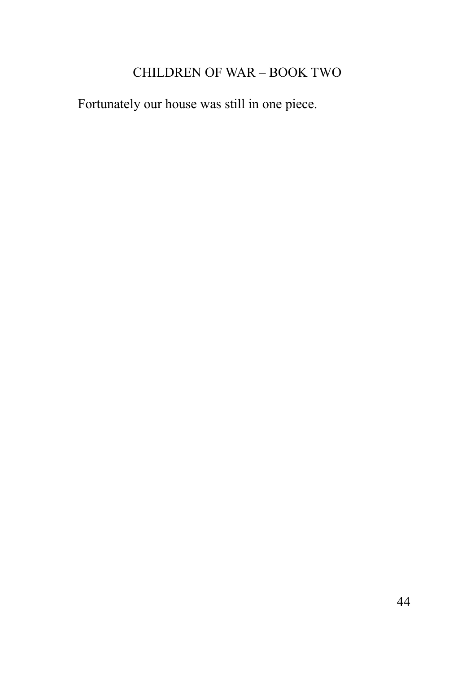<span id="page-43-0"></span>Fortunately our house was still in one piece.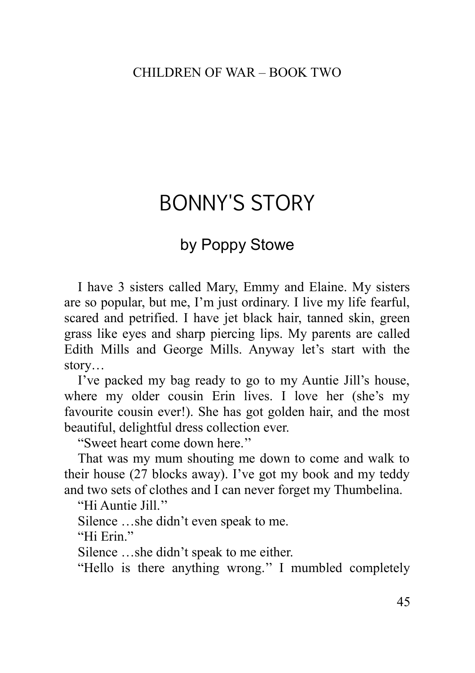# BONNY'S STORY

## by Poppy Stowe

I have 3 sisters called Mary, Emmy and Elaine. My sisters are so popular, but me, I'm just ordinary. I live my life fearful, scared and petrified. I have jet black hair, tanned skin, green grass like eyes and sharp piercing lips. My parents are called Edith Mills and George Mills. Anyway let's start with the story…

I've packed my bag ready to go to my Auntie Jill's house, where my older cousin Erin lives. I love her (she's my favourite cousin ever!). She has got golden hair, and the most beautiful, delightful dress collection ever.

"Sweet heart come down here.''

That was my mum shouting me down to come and walk to their house (27 blocks away). I've got my book and my teddy and two sets of clothes and I can never forget my Thumbelina.

"Hi Auntie Jill."

Silence …she didn't even speak to me.

"Hi Erin<sup>"</sup>

Silence …she didn't speak to me either.

"Hello is there anything wrong.'' I mumbled completely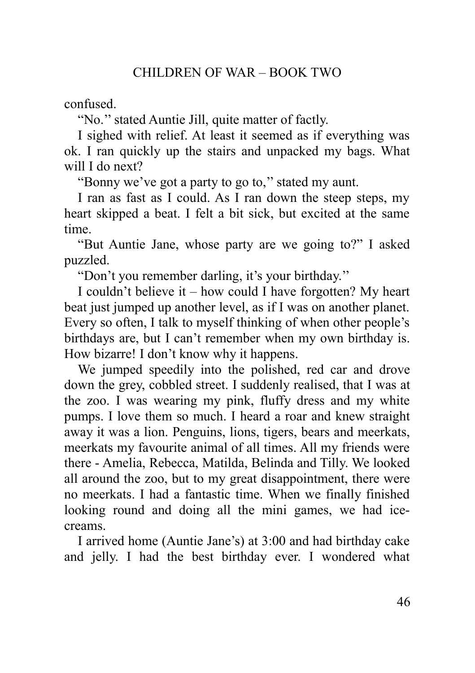confused.

"No.'' stated Auntie Jill, quite matter of factly.

I sighed with relief. At least it seemed as if everything was ok. I ran quickly up the stairs and unpacked my bags. What will I do next?

"Bonny we've got a party to go to,'' stated my aunt.

I ran as fast as I could. As I ran down the steep steps, my heart skipped a beat. I felt a bit sick, but excited at the same time.

"But Auntie Jane, whose party are we going to?" I asked puzzled.

"Don't you remember darling, it's your birthday.''

I couldn't believe it – how could I have forgotten? My heart beat just jumped up another level, as if I was on another planet. Every so often, I talk to myself thinking of when other people's birthdays are, but I can't remember when my own birthday is. How bizarre! I don't know why it happens.

We jumped speedily into the polished, red car and drove down the grey, cobbled street. I suddenly realised, that I was at the zoo. I was wearing my pink, fluffy dress and my white pumps. I love them so much. I heard a roar and knew straight away it was a lion. Penguins, lions, tigers, bears and meerkats, meerkats my favourite animal of all times. All my friends were there - Amelia, Rebecca, Matilda, Belinda and Tilly. We looked all around the zoo, but to my great disappointment, there were no meerkats. I had a fantastic time. When we finally finished looking round and doing all the mini games, we had icecreams.

I arrived home (Auntie Jane's) at 3:00 and had birthday cake and jelly. I had the best birthday ever. I wondered what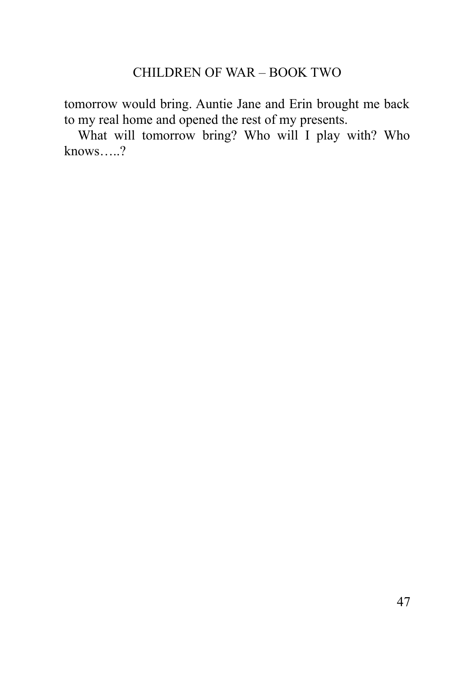tomorrow would bring. Auntie Jane and Erin brought me back to my real home and opened the rest of my presents.

<span id="page-46-0"></span>What will tomorrow bring? Who will I play with? Who  $knows....?$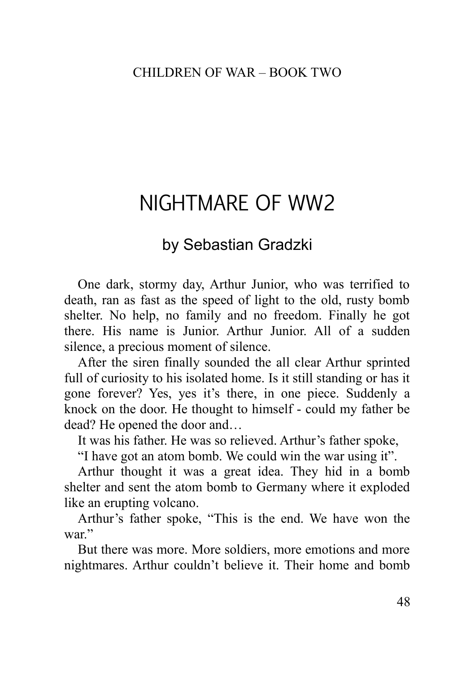# NIGHTMARE OF WW2

## by Sebastian Gradzki

One dark, stormy day, Arthur Junior, who was terrified to death, ran as fast as the speed of light to the old, rusty bomb shelter. No help, no family and no freedom. Finally he got there. His name is Junior. Arthur Junior. All of a sudden silence, a precious moment of silence.

After the siren finally sounded the all clear Arthur sprinted full of curiosity to his isolated home. Is it still standing or has it gone forever? Yes, yes it's there, in one piece. Suddenly a knock on the door. He thought to himself - could my father be dead? He opened the door and…

It was his father. He was so relieved. Arthur's father spoke,

"I have got an atom bomb. We could win the war using it".

Arthur thought it was a great idea. They hid in a bomb shelter and sent the atom bomb to Germany where it exploded like an erupting volcano.

Arthur's father spoke, "This is the end. We have won the war"

But there was more. More soldiers, more emotions and more nightmares. Arthur couldn't believe it. Their home and bomb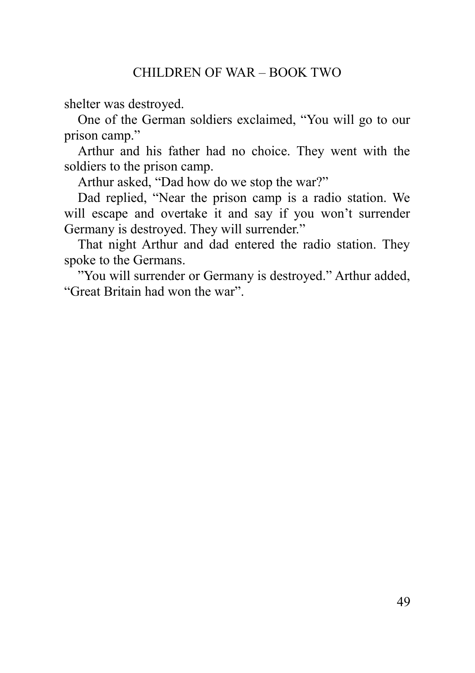shelter was destroyed.

One of the German soldiers exclaimed, "You will go to our prison camp."

Arthur and his father had no choice. They went with the soldiers to the prison camp.

Arthur asked, "Dad how do we stop the war?"

Dad replied, "Near the prison camp is a radio station. We will escape and overtake it and say if you won't surrender Germany is destroyed. They will surrender."

That night Arthur and dad entered the radio station. They spoke to the Germans.

<span id="page-48-0"></span>"You will surrender or Germany is destroyed." Arthur added, "Great Britain had won the war".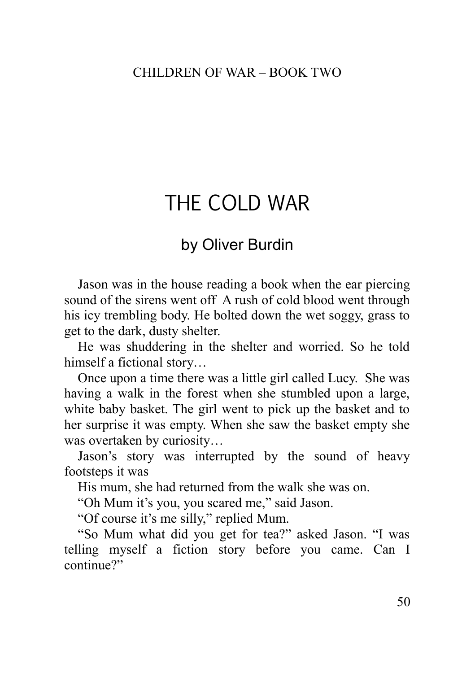# THE COLD WAR

## by Oliver Burdin

Jason was in the house reading a book when the ear piercing sound of the sirens went off A rush of cold blood went through his icy trembling body. He bolted down the wet soggy, grass to get to the dark, dusty shelter.

He was shuddering in the shelter and worried. So he told himself a fictional story...

Once upon a time there was a little girl called Lucy. She was having a walk in the forest when she stumbled upon a large, white baby basket. The girl went to pick up the basket and to her surprise it was empty. When she saw the basket empty she was overtaken by curiosity…

Jason's story was interrupted by the sound of heavy footsteps it was

His mum, she had returned from the walk she was on.

"Oh Mum it's you, you scared me," said Jason.

"Of course it's me silly," replied Mum.

"So Mum what did you get for tea?" asked Jason. "I was telling myself a fiction story before you came. Can I continue?"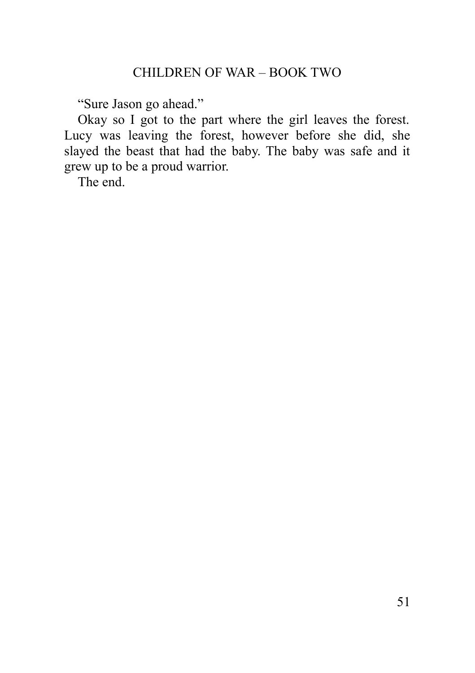"Sure Jason go ahead."

Okay so I got to the part where the girl leaves the forest. Lucy was leaving the forest, however before she did, she slayed the beast that had the baby. The baby was safe and it grew up to be a proud warrior.

<span id="page-50-0"></span>The end.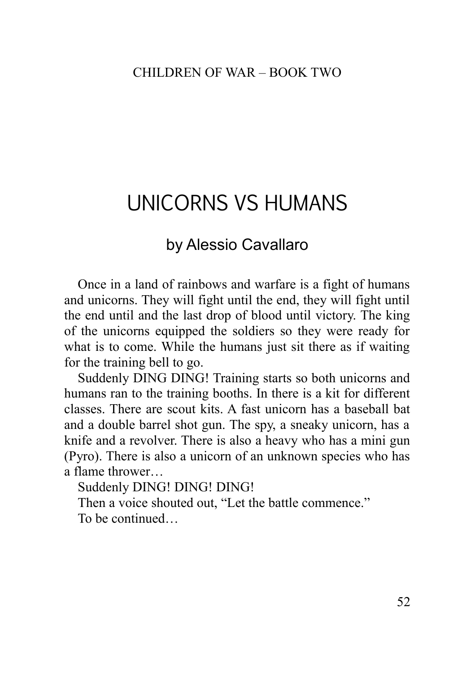# UNICORNS VS HUMANS

## by Alessio Cavallaro

Once in a land of rainbows and warfare is a fight of humans and unicorns. They will fight until the end, they will fight until the end until and the last drop of blood until victory. The king of the unicorns equipped the soldiers so they were ready for what is to come. While the humans just sit there as if waiting for the training bell to go.

Suddenly DING DING! Training starts so both unicorns and humans ran to the training booths. In there is a kit for different classes. There are scout kits. A fast unicorn has a baseball bat and a double barrel shot gun. The spy, a sneaky unicorn, has a knife and a revolver. There is also a heavy who has a mini gun (Pyro). There is also a unicorn of an unknown species who has a flame thrower…

Suddenly DING! DING! DING!

Then a voice shouted out, "Let the battle commence."

<span id="page-51-0"></span>To be continued…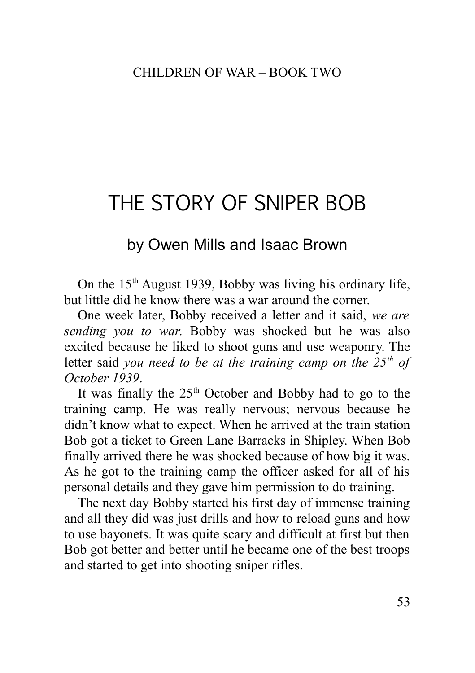# THE STORY OF SNIPER BOB

## by Owen Mills and Isaac Brown

On the  $15<sup>th</sup>$  August 1939, Bobby was living his ordinary life, but little did he know there was a war around the corner.

One week later, Bobby received a letter and it said, *we are sending you to war*. Bobby was shocked but he was also excited because he liked to shoot guns and use weaponry. The letter said *you need to be at the training camp on the 25th of October 1939*.

It was finally the  $25<sup>th</sup>$  October and Bobby had to go to the training camp. He was really nervous; nervous because he didn't know what to expect. When he arrived at the train station Bob got a ticket to Green Lane Barracks in Shipley. When Bob finally arrived there he was shocked because of how big it was. As he got to the training camp the officer asked for all of his personal details and they gave him permission to do training.

The next day Bobby started his first day of immense training and all they did was just drills and how to reload guns and how to use bayonets. It was quite scary and difficult at first but then Bob got better and better until he became one of the best troops and started to get into shooting sniper rifles.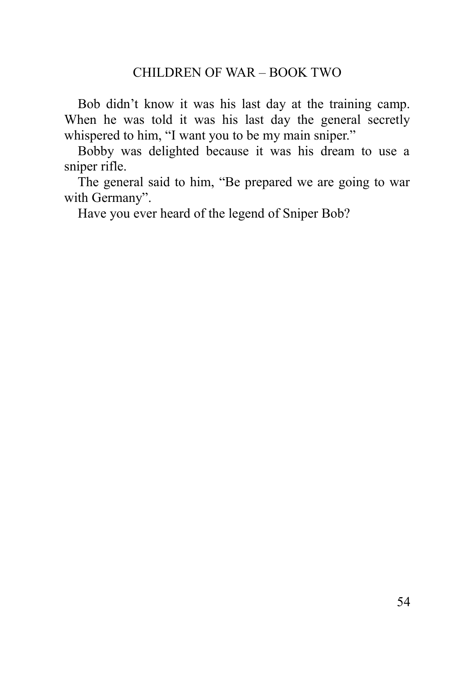Bob didn't know it was his last day at the training camp. When he was told it was his last day the general secretly whispered to him, "I want you to be my main sniper."

Bobby was delighted because it was his dream to use a sniper rifle.

The general said to him, "Be prepared we are going to war with Germany".

<span id="page-53-0"></span>Have you ever heard of the legend of Sniper Bob?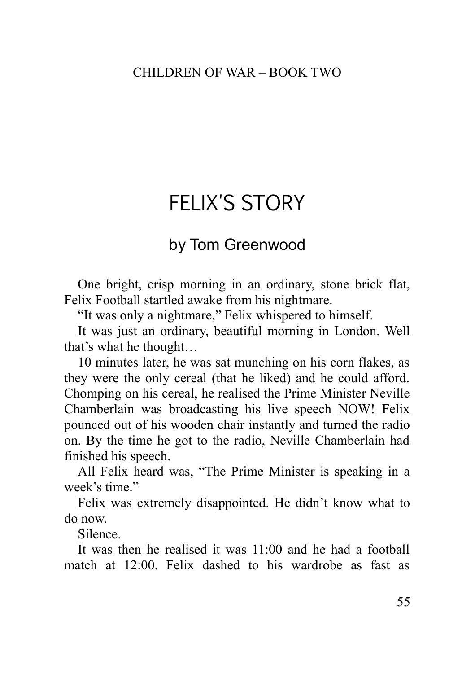# FFI IX'S STORY

## by Tom Greenwood

One bright, crisp morning in an ordinary, stone brick flat, Felix Football startled awake from his nightmare.

"It was only a nightmare," Felix whispered to himself.

It was just an ordinary, beautiful morning in London. Well that's what he thought…

10 minutes later, he was sat munching on his corn flakes, as they were the only cereal (that he liked) and he could afford. Chomping on his cereal, he realised the Prime Minister Neville Chamberlain was broadcasting his live speech NOW! Felix pounced out of his wooden chair instantly and turned the radio on. By the time he got to the radio, Neville Chamberlain had finished his speech.

All Felix heard was, "The Prime Minister is speaking in a week's time."

Felix was extremely disappointed. He didn't know what to do now.

Silence.

It was then he realised it was 11:00 and he had a football match at 12:00. Felix dashed to his wardrobe as fast as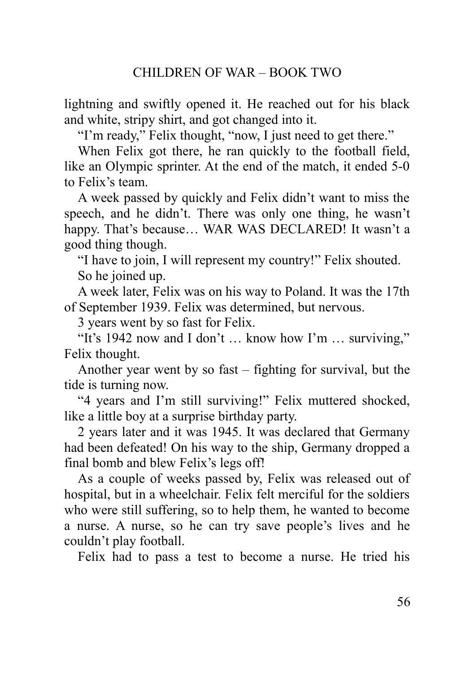lightning and swiftly opened it. He reached out for his black and white, stripy shirt, and got changed into it.

"I'm ready," Felix thought, "now, I just need to get there."

When Felix got there, he ran quickly to the football field, like an Olympic sprinter. At the end of the match, it ended 5-0 to Felix's team.

A week passed by quickly and Felix didn't want to miss the speech, and he didn't. There was only one thing, he wasn't happy. That's because... WAR WAS DECLARED! It wasn't a good thing though.

"I have to join, I will represent my country!" Felix shouted. So he joined up.

A week later, Felix was on his way to Poland. It was the 17th of September 1939. Felix was determined, but nervous.

3 years went by so fast for Felix.

"It's 1942 now and I don't … know how I'm … surviving," Felix thought.

Another year went by so fast – fighting for survival, but the tide is turning now.

"4 years and I'm still surviving!" Felix muttered shocked, like a little boy at a surprise birthday party.

2 years later and it was 1945. It was declared that Germany had been defeated! On his way to the ship, Germany dropped a final bomb and blew Felix's legs off!

As a couple of weeks passed by, Felix was released out of hospital, but in a wheelchair. Felix felt merciful for the soldiers who were still suffering, so to help them, he wanted to become a nurse. A nurse, so he can try save people's lives and he couldn't play football.

Felix had to pass a test to become a nurse. He tried his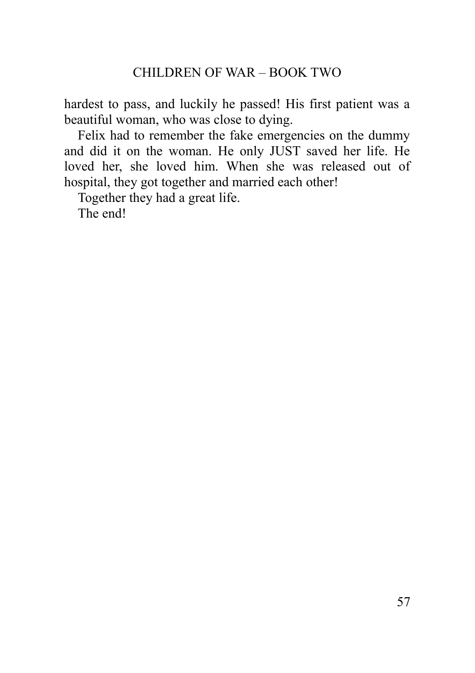hardest to pass, and luckily he passed! His first patient was a beautiful woman, who was close to dying.

Felix had to remember the fake emergencies on the dummy and did it on the woman. He only JUST saved her life. He loved her, she loved him. When she was released out of hospital, they got together and married each other!

Together they had a great life.

<span id="page-56-0"></span>The end!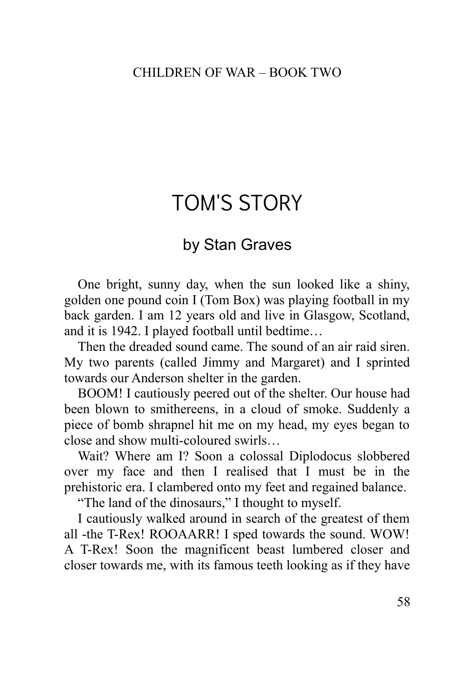# TOM'S STORY

## by Stan Graves

One bright, sunny day, when the sun looked like a shiny, golden one pound coin I (Tom Box) was playing football in my back garden. I am 12 years old and live in Glasgow, Scotland, and it is 1942. I played football until bedtime…

Then the dreaded sound came. The sound of an air raid siren. My two parents (called Jimmy and Margaret) and I sprinted towards our Anderson shelter in the garden.

BOOM! I cautiously peered out of the shelter. Our house had been blown to smithereens, in a cloud of smoke. Suddenly a piece of bomb shrapnel hit me on my head, my eyes began to close and show multi-coloured swirls…

Wait? Where am I? Soon a colossal Diplodocus slobbered over my face and then I realised that I must be in the prehistoric era. I clambered onto my feet and regained balance.

"The land of the dinosaurs," I thought to myself.

I cautiously walked around in search of the greatest of them all -the T-Rex! ROOAARR! I sped towards the sound. WOW! A T-Rex! Soon the magnificent beast lumbered closer and closer towards me, with its famous teeth looking as if they have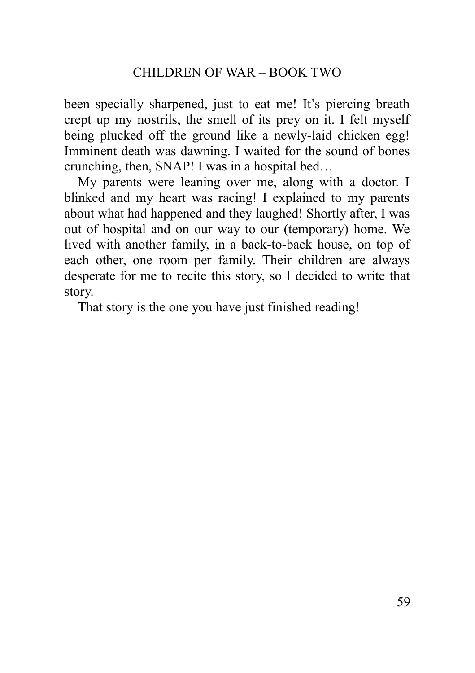been specially sharpened, just to eat me! It's piercing breath crept up my nostrils, the smell of its prey on it. I felt myself being plucked off the ground like a newly-laid chicken egg! Imminent death was dawning. I waited for the sound of bones crunching, then, SNAP! I was in a hospital bed…

My parents were leaning over me, along with a doctor. I blinked and my heart was racing! I explained to my parents about what had happened and they laughed! Shortly after, I was out of hospital and on our way to our (temporary) home. We lived with another family, in a back-to-back house, on top of each other, one room per family. Their children are always desperate for me to recite this story, so I decided to write that story.

<span id="page-58-0"></span>That story is the one you have just finished reading!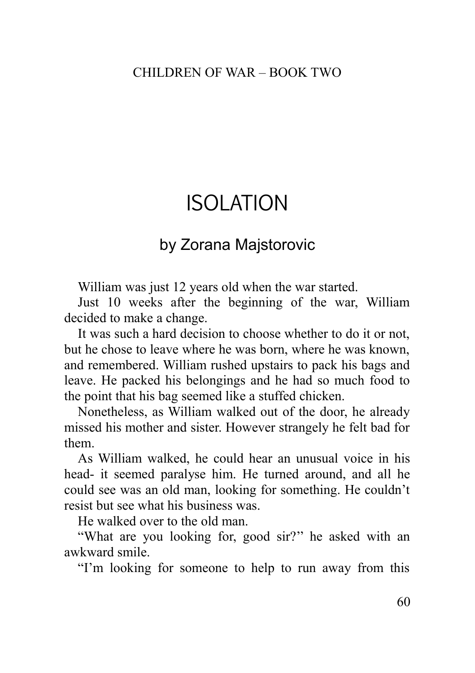# ISOLATION

## by Zorana Majstorovic

William was just 12 years old when the war started.

Just 10 weeks after the beginning of the war, William decided to make a change.

It was such a hard decision to choose whether to do it or not, but he chose to leave where he was born, where he was known, and remembered. William rushed upstairs to pack his bags and leave. He packed his belongings and he had so much food to the point that his bag seemed like a stuffed chicken.

Nonetheless, as William walked out of the door, he already missed his mother and sister. However strangely he felt bad for them.

As William walked, he could hear an unusual voice in his head- it seemed paralyse him. He turned around, and all he could see was an old man, looking for something. He couldn't resist but see what his business was.

He walked over to the old man.

"What are you looking for, good sir?'' he asked with an awkward smile.

"I'm looking for someone to help to run away from this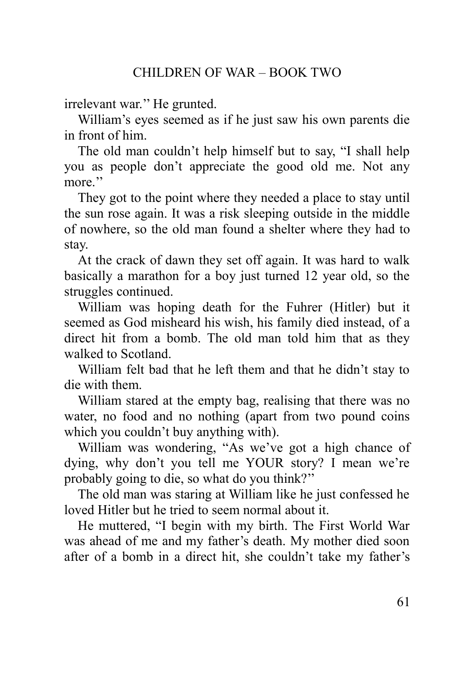irrelevant war.'' He grunted.

William's eyes seemed as if he just saw his own parents die in front of him.

The old man couldn't help himself but to say, "I shall help you as people don't appreciate the good old me. Not any more."

They got to the point where they needed a place to stay until the sun rose again. It was a risk sleeping outside in the middle of nowhere, so the old man found a shelter where they had to stay.

At the crack of dawn they set off again. It was hard to walk basically a marathon for a boy just turned 12 year old, so the struggles continued.

William was hoping death for the Fuhrer (Hitler) but it seemed as God misheard his wish, his family died instead, of a direct hit from a bomb. The old man told him that as they walked to Scotland.

William felt bad that he left them and that he didn't stay to die with them.

William stared at the empty bag, realising that there was no water, no food and no nothing (apart from two pound coins which you couldn't buy anything with).

William was wondering, "As we've got a high chance of dying, why don't you tell me YOUR story? I mean we're probably going to die, so what do you think?''

The old man was staring at William like he just confessed he loved Hitler but he tried to seem normal about it.

He muttered, "I begin with my birth. The First World War was ahead of me and my father's death. My mother died soon after of a bomb in a direct hit, she couldn't take my father's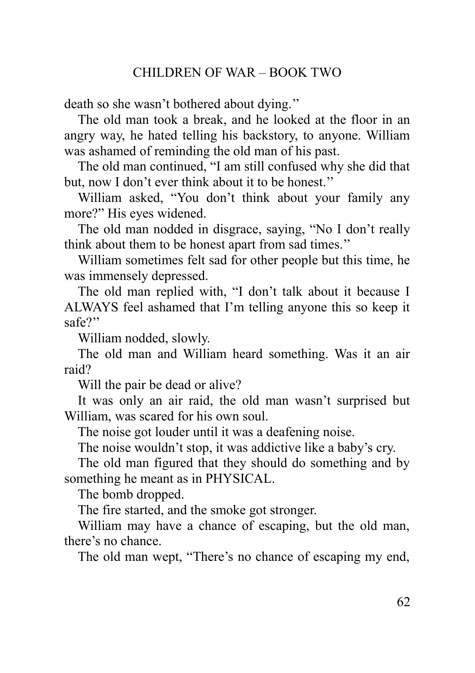death so she wasn't bothered about dying.''

The old man took a break, and he looked at the floor in an angry way, he hated telling his backstory, to anyone. William was ashamed of reminding the old man of his past.

The old man continued, "I am still confused why she did that but, now I don't ever think about it to be honest.''

William asked, "You don't think about your family any more?" His eyes widened.

The old man nodded in disgrace, saying, "No I don't really think about them to be honest apart from sad times.''

William sometimes felt sad for other people but this time, he was immensely depressed.

The old man replied with, "I don't talk about it because I ALWAYS feel ashamed that I'm telling anyone this so keep it safe?''

William nodded, slowly.

The old man and William heard something. Was it an air raid?

Will the pair be dead or alive?

It was only an air raid, the old man wasn't surprised but William, was scared for his own soul.

The noise got louder until it was a deafening noise.

The noise wouldn't stop, it was addictive like a baby's cry.

The old man figured that they should do something and by something he meant as in PHYSICAL.

The bomb dropped.

The fire started, and the smoke got stronger.

William may have a chance of escaping, but the old man, there's no chance.

The old man wept, "There's no chance of escaping my end,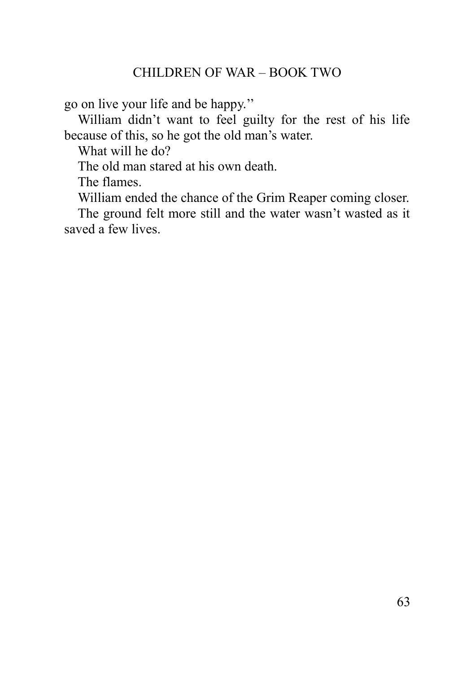go on live your life and be happy.''

William didn't want to feel guilty for the rest of his life because of this, so he got the old man's water.

What will he do?

The old man stared at his own death.

The flames.

William ended the chance of the Grim Reaper coming closer.

The ground felt more still and the water wasn't wasted as it saved a few lives.